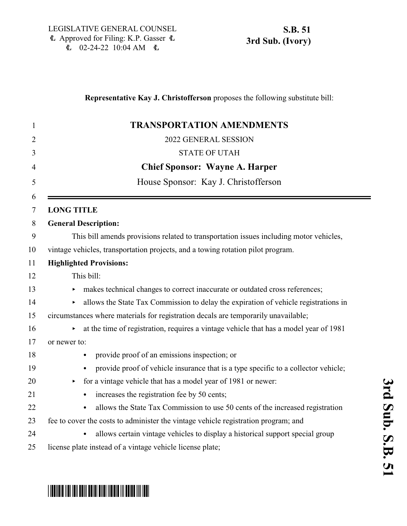### **Representative Kay J. Christofferson** proposes the following substitute bill:

| 1              | <b>TRANSPORTATION AMENDMENTS</b>                                                                             |
|----------------|--------------------------------------------------------------------------------------------------------------|
| $\overline{2}$ | 2022 GENERAL SESSION                                                                                         |
| 3              | <b>STATE OF UTAH</b>                                                                                         |
| $\overline{4}$ | <b>Chief Sponsor: Wayne A. Harper</b>                                                                        |
| 5              | House Sponsor: Kay J. Christofferson                                                                         |
| 6<br>7         | <b>LONG TITLE</b>                                                                                            |
| 8              | <b>General Description:</b>                                                                                  |
| 9              | This bill amends provisions related to transportation issues including motor vehicles,                       |
| 10             | vintage vehicles, transportation projects, and a towing rotation pilot program.                              |
| 11             | <b>Highlighted Provisions:</b>                                                                               |
| 12             | This bill:                                                                                                   |
| 13             | makes technical changes to correct inaccurate or outdated cross references;<br>$\blacktriangleright$         |
| 14             | allows the State Tax Commission to delay the expiration of vehicle registrations in<br>$\blacktriangleright$ |
| 15             | circumstances where materials for registration decals are temporarily unavailable;                           |
| 16             | at the time of registration, requires a vintage vehicle that has a model year of 1981<br>▶                   |
| 17             | or newer to:                                                                                                 |
| 18             | provide proof of an emissions inspection; or                                                                 |
| 19             | provide proof of vehicle insurance that is a type specific to a collector vehicle;                           |
| 20             | for a vintage vehicle that has a model year of 1981 or newer:<br>$\blacktriangleright$                       |
| 21             | increases the registration fee by 50 cents;                                                                  |
| 22             | allows the State Tax Commission to use 50 cents of the increased registration                                |
| 23             | fee to cover the costs to administer the vintage vehicle registration program; and                           |
| 24             | allows certain vintage vehicles to display a historical support special group                                |
| 25             | license plate instead of a vintage vehicle license plate;                                                    |

# \*SB0051S03\*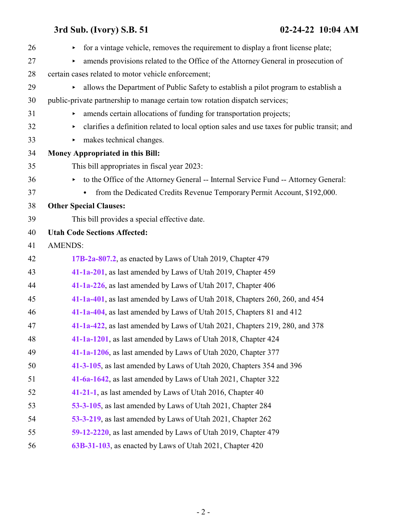| 26 | for a vintage vehicle, removes the requirement to display a front license plate;<br>Þ.          |
|----|-------------------------------------------------------------------------------------------------|
| 27 | amends provisions related to the Office of the Attorney General in prosecution of<br>Þ.         |
| 28 | certain cases related to motor vehicle enforcement;                                             |
| 29 | allows the Department of Public Safety to establish a pilot program to establish a              |
| 30 | public-private partnership to manage certain tow rotation dispatch services;                    |
| 31 | amends certain allocations of funding for transportation projects;                              |
| 32 | clarifies a definition related to local option sales and use taxes for public transit; and<br>▶ |
| 33 | makes technical changes.<br>▶.                                                                  |
| 34 | <b>Money Appropriated in this Bill:</b>                                                         |
| 35 | This bill appropriates in fiscal year 2023:                                                     |
| 36 | to the Office of the Attorney General -- Internal Service Fund -- Attorney General:             |
| 37 | from the Dedicated Credits Revenue Temporary Permit Account, \$192,000.                         |
| 38 | <b>Other Special Clauses:</b>                                                                   |
| 39 | This bill provides a special effective date.                                                    |
| 40 | <b>Utah Code Sections Affected:</b>                                                             |
| 41 | <b>AMENDS:</b>                                                                                  |
| 42 | 17B-2a-807.2, as enacted by Laws of Utah 2019, Chapter 479                                      |
| 43 | 41-1a-201, as last amended by Laws of Utah 2019, Chapter 459                                    |
| 44 | 41-1a-226, as last amended by Laws of Utah 2017, Chapter 406                                    |
| 45 | 41-1a-401, as last amended by Laws of Utah 2018, Chapters 260, 260, and 454                     |
| 46 | 41-1a-404, as last amended by Laws of Utah 2015, Chapters 81 and 412                            |
| 47 | 41-1a-422, as last amended by Laws of Utah 2021, Chapters 219, 280, and 378                     |
| 48 | 41-1a-1201, as last amended by Laws of Utah 2018, Chapter 424                                   |
| 49 | 41-1a-1206, as last amended by Laws of Utah 2020, Chapter 377                                   |
| 50 | 41-3-105, as last amended by Laws of Utah 2020, Chapters 354 and 396                            |
| 51 | 41-6a-1642, as last amended by Laws of Utah 2021, Chapter 322                                   |
| 52 | 41-21-1, as last amended by Laws of Utah 2016, Chapter 40                                       |
| 53 | 53-3-105, as last amended by Laws of Utah 2021, Chapter 284                                     |
| 54 | 53-3-219, as last amended by Laws of Utah 2021, Chapter 262                                     |
| 55 | 59-12-2220, as last amended by Laws of Utah 2019, Chapter 479                                   |
| 56 | 63B-31-103, as enacted by Laws of Utah 2021, Chapter 420                                        |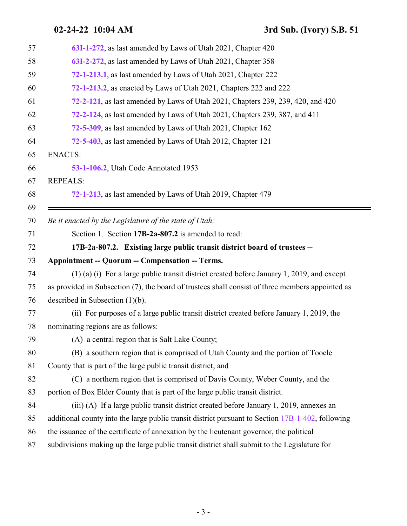**02-24-22 10:04 AM 3rd Sub. (Ivory) S.B. 51**

<span id="page-2-0"></span>

| 57 | 63I-1-272, as last amended by Laws of Utah 2021, Chapter 420                                      |
|----|---------------------------------------------------------------------------------------------------|
| 58 | 63I-2-272, as last amended by Laws of Utah 2021, Chapter 358                                      |
| 59 | 72-1-213.1, as last amended by Laws of Utah 2021, Chapter 222                                     |
| 60 | 72-1-213.2, as enacted by Laws of Utah 2021, Chapters 222 and 222                                 |
| 61 | 72-2-121, as last amended by Laws of Utah 2021, Chapters 239, 239, 420, and 420                   |
| 62 | 72-2-124, as last amended by Laws of Utah 2021, Chapters 239, 387, and 411                        |
| 63 | 72-5-309, as last amended by Laws of Utah 2021, Chapter 162                                       |
| 64 | 72-5-403, as last amended by Laws of Utah 2012, Chapter 121                                       |
| 65 | <b>ENACTS:</b>                                                                                    |
| 66 | 53-1-106.2, Utah Code Annotated 1953                                                              |
| 67 | <b>REPEALS:</b>                                                                                   |
| 68 | 72-1-213, as last amended by Laws of Utah 2019, Chapter 479                                       |
| 69 |                                                                                                   |
| 70 | Be it enacted by the Legislature of the state of Utah:                                            |
| 71 | Section 1. Section 17B-2a-807.2 is amended to read:                                               |
| 72 | 17B-2a-807.2. Existing large public transit district board of trustees --                         |
| 73 | <b>Appointment -- Quorum -- Compensation -- Terms.</b>                                            |
| 74 | $(1)$ (a) (i) For a large public transit district created before January 1, 2019, and except      |
| 75 | as provided in Subsection (7), the board of trustees shall consist of three members appointed as  |
| 76 | described in Subsection $(1)(b)$ .                                                                |
| 77 | (ii) For purposes of a large public transit district created before January 1, 2019, the          |
| 78 | nominating regions are as follows:                                                                |
| 79 | (A) a central region that is Salt Lake County;                                                    |
| 80 | (B) a southern region that is comprised of Utah County and the portion of Tooele                  |
| 81 | County that is part of the large public transit district; and                                     |
| 82 | (C) a northern region that is comprised of Davis County, Weber County, and the                    |
| 83 | portion of Box Elder County that is part of the large public transit district.                    |
| 84 | (iii) (A) If a large public transit district created before January 1, 2019, annexes an           |
| 85 | additional county into the large public transit district pursuant to Section 17B-1-402, following |
| 86 | the issuance of the certificate of annexation by the lieutenant governor, the political           |
| 87 | subdivisions making up the large public transit district shall submit to the Legislature for      |
|    |                                                                                                   |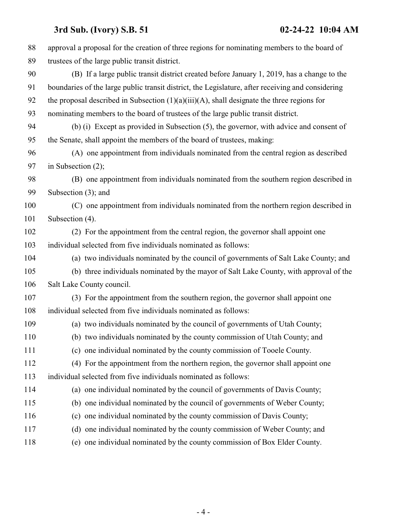| 88  | approval a proposal for the creation of three regions for nominating members to the board of      |
|-----|---------------------------------------------------------------------------------------------------|
| 89  | trustees of the large public transit district.                                                    |
| 90  | (B) If a large public transit district created before January 1, 2019, has a change to the        |
| 91  | boundaries of the large public transit district, the Legislature, after receiving and considering |
| 92  | the proposal described in Subsection $(1)(a)(iii)(A)$ , shall designate the three regions for     |
| 93  | nominating members to the board of trustees of the large public transit district.                 |
| 94  | (b) (i) Except as provided in Subsection (5), the governor, with advice and consent of            |
| 95  | the Senate, shall appoint the members of the board of trustees, making:                           |
| 96  | (A) one appointment from individuals nominated from the central region as described               |
| 97  | in Subsection $(2)$ ;                                                                             |
| 98  | (B) one appointment from individuals nominated from the southern region described in              |
| 99  | Subsection $(3)$ ; and                                                                            |
| 100 | (C) one appointment from individuals nominated from the northern region described in              |
| 101 | Subsection (4).                                                                                   |
| 102 | (2) For the appointment from the central region, the governor shall appoint one                   |
| 103 | individual selected from five individuals nominated as follows:                                   |
| 104 | (a) two individuals nominated by the council of governments of Salt Lake County; and              |
| 105 | (b) three individuals nominated by the mayor of Salt Lake County, with approval of the            |
| 106 | Salt Lake County council.                                                                         |
| 107 | (3) For the appointment from the southern region, the governor shall appoint one                  |
| 108 | individual selected from five individuals nominated as follows:                                   |
| 109 | (a) two individuals nominated by the council of governments of Utah County;                       |
| 110 | (b) two individuals nominated by the county commission of Utah County; and                        |
| 111 | (c) one individual nominated by the county commission of Tooele County.                           |
| 112 | (4) For the appointment from the northern region, the governor shall appoint one                  |
| 113 | individual selected from five individuals nominated as follows:                                   |
| 114 | (a) one individual nominated by the council of governments of Davis County;                       |
| 115 | (b) one individual nominated by the council of governments of Weber County;                       |
| 116 | (c) one individual nominated by the county commission of Davis County;                            |
| 117 | (d) one individual nominated by the county commission of Weber County; and                        |
| 118 | (e) one individual nominated by the county commission of Box Elder County.                        |
|     |                                                                                                   |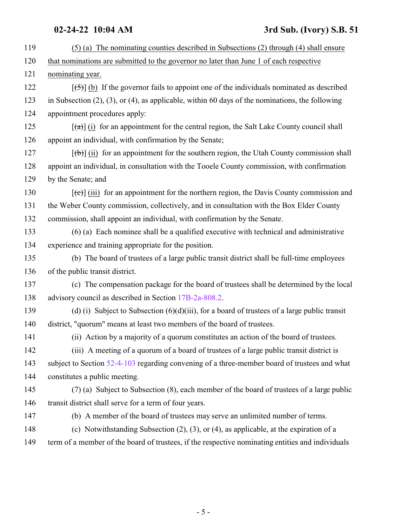| 119 | $(5)$ (a) The nominating counties described in Subsections (2) through (4) shall ensure                        |
|-----|----------------------------------------------------------------------------------------------------------------|
| 120 | that nominations are submitted to the governor no later than June 1 of each respective                         |
| 121 | nominating year.                                                                                               |
| 122 | $[\frac{1}{5}]$ (b) If the governor fails to appoint one of the individuals nominated as described             |
| 123 | in Subsection $(2)$ , $(3)$ , or $(4)$ , as applicable, within 60 days of the nominations, the following       |
| 124 | appointment procedures apply:                                                                                  |
| 125 | $\left[\frac{1}{(d)}\right]$ (i) for an appointment for the central region, the Salt Lake County council shall |
| 126 | appoint an individual, with confirmation by the Senate;                                                        |
| 127 | $[\phi]$ (ii) for an appointment for the southern region, the Utah County commission shall                     |
| 128 | appoint an individual, in consultation with the Tooele County commission, with confirmation                    |
| 129 | by the Senate; and                                                                                             |
| 130 | $[\text{(-c)}]$ (iii) for an appointment for the northern region, the Davis County commission and              |
| 131 | the Weber County commission, collectively, and in consultation with the Box Elder County                       |
| 132 | commission, shall appoint an individual, with confirmation by the Senate.                                      |
| 133 | $(6)$ (a) Each nominee shall be a qualified executive with technical and administrative                        |
| 134 | experience and training appropriate for the position.                                                          |
| 135 | (b) The board of trustees of a large public transit district shall be full-time employees                      |
| 136 | of the public transit district.                                                                                |
| 137 | (c) The compensation package for the board of trustees shall be determined by the local                        |
| 138 | advisory council as described in Section 17B-2a-808.2.                                                         |
| 139 | (d) (i) Subject to Subsection $(6)(d)(iii)$ , for a board of trustees of a large public transit                |
| 140 | district, "quorum" means at least two members of the board of trustees.                                        |
| 141 | (ii) Action by a majority of a quorum constitutes an action of the board of trustees.                          |
| 142 | (iii) A meeting of a quorum of a board of trustees of a large public transit district is                       |
| 143 | subject to Section 52-4-103 regarding convening of a three-member board of trustees and what                   |
| 144 | constitutes a public meeting.                                                                                  |
| 145 | (7) (a) Subject to Subsection (8), each member of the board of trustees of a large public                      |
| 146 | transit district shall serve for a term of four years.                                                         |
| 147 | (b) A member of the board of trustees may serve an unlimited number of terms.                                  |
| 148 | (c) Notwithstanding Subsection $(2)$ , $(3)$ , or $(4)$ , as applicable, at the expiration of a                |
| 149 | term of a member of the board of trustees, if the respective nominating entities and individuals               |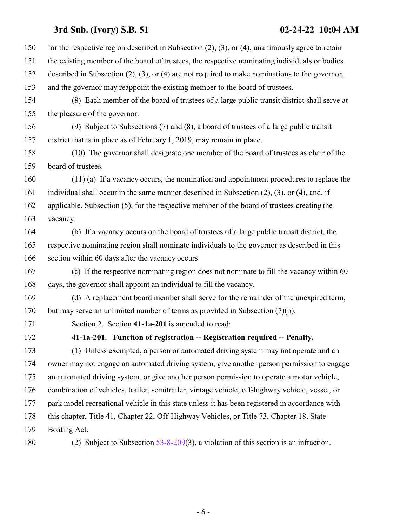<span id="page-5-0"></span>

| 150 | for the respective region described in Subsection $(2)$ , $(3)$ , or $(4)$ , unanimously agree to retain |
|-----|----------------------------------------------------------------------------------------------------------|
| 151 | the existing member of the board of trustees, the respective nominating individuals or bodies            |
| 152 | described in Subsection $(2)$ , $(3)$ , or $(4)$ are not required to make nominations to the governor,   |
| 153 | and the governor may reappoint the existing member to the board of trustees.                             |
| 154 | (8) Each member of the board of trustees of a large public transit district shall serve at               |
| 155 | the pleasure of the governor.                                                                            |
| 156 | (9) Subject to Subsections $(7)$ and $(8)$ , a board of trustees of a large public transit               |
| 157 | district that is in place as of February 1, 2019, may remain in place.                                   |
| 158 | (10) The governor shall designate one member of the board of trustees as chair of the                    |
| 159 | board of trustees.                                                                                       |
| 160 | $(11)$ (a) If a vacancy occurs, the nomination and appointment procedures to replace the                 |
| 161 | individual shall occur in the same manner described in Subsection $(2)$ , $(3)$ , or $(4)$ , and, if     |
| 162 | applicable, Subsection (5), for the respective member of the board of trustees creating the              |
| 163 | vacancy.                                                                                                 |
| 164 | (b) If a vacancy occurs on the board of trustees of a large public transit district, the                 |
| 165 | respective nominating region shall nominate individuals to the governor as described in this             |
| 166 | section within 60 days after the vacancy occurs.                                                         |
| 167 | (c) If the respective nominating region does not nominate to fill the vacancy within 60                  |
| 168 | days, the governor shall appoint an individual to fill the vacancy.                                      |
| 169 | (d) A replacement board member shall serve for the remainder of the unexpired term,                      |
| 170 | but may serve an unlimited number of terms as provided in Subsection (7)(b).                             |
| 171 | Section 2. Section 41-1a-201 is amended to read:                                                         |
| 172 | 41-1a-201. Function of registration -- Registration required -- Penalty.                                 |
| 173 | (1) Unless exempted, a person or automated driving system may not operate and an                         |
| 174 | owner may not engage an automated driving system, give another person permission to engage               |
| 175 | an automated driving system, or give another person permission to operate a motor vehicle,               |
| 176 | combination of vehicles, trailer, semitrailer, vintage vehicle, off-highway vehicle, vessel, or          |
| 177 | park model recreational vehicle in this state unless it has been registered in accordance with           |
| 178 | this chapter, Title 41, Chapter 22, Off-Highway Vehicles, or Title 73, Chapter 18, State                 |
| 179 | Boating Act.                                                                                             |
| 180 | (2) Subject to Subsection $53-8-209(3)$ , a violation of this section is an infraction.                  |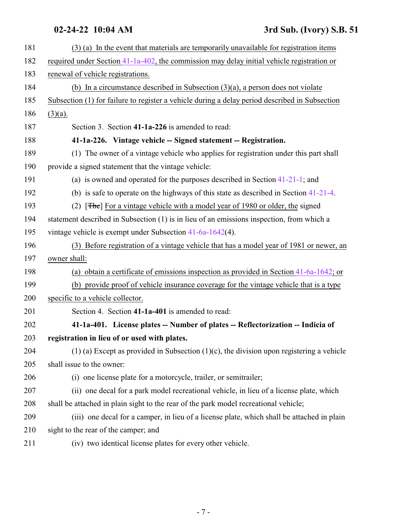<span id="page-6-1"></span><span id="page-6-0"></span>

| 181 | (3) (a) In the event that materials are temporarily unavailable for registration items         |
|-----|------------------------------------------------------------------------------------------------|
| 182 | required under Section 41-1a-402, the commission may delay initial vehicle registration or     |
| 183 | renewal of vehicle registrations.                                                              |
| 184 | (b) In a circumstance described in Subsection $(3)(a)$ , a person does not violate             |
| 185 | Subsection (1) for failure to register a vehicle during a delay period described in Subsection |
| 186 | $(3)(a)$ .                                                                                     |
| 187 | Section 3. Section 41-1a-226 is amended to read:                                               |
| 188 | 41-1a-226. Vintage vehicle -- Signed statement -- Registration.                                |
| 189 | (1) The owner of a vintage vehicle who applies for registration under this part shall          |
| 190 | provide a signed statement that the vintage vehicle:                                           |
| 191 | (a) is owned and operated for the purposes described in Section $41-21-1$ ; and                |
| 192 | (b) is safe to operate on the highways of this state as described in Section $41-21-4$ .       |
| 193 | (2) $[THE]$ For a vintage vehicle with a model year of 1980 or older, the signed               |
| 194 | statement described in Subsection (1) is in lieu of an emissions inspection, from which a      |
| 195 | vintage vehicle is exempt under Subsection $41-6a-1642(4)$ .                                   |
| 196 | (3) Before registration of a vintage vehicle that has a model year of 1981 or newer, an        |
| 197 | owner shall:                                                                                   |
| 198 | (a) obtain a certificate of emissions inspection as provided in Section $41-6a-1642$ ; or      |
| 199 | (b) provide proof of vehicle insurance coverage for the vintage vehicle that is a type         |
| 200 | specific to a vehicle collector.                                                               |
| 201 | Section 4. Section 41-1a-401 is amended to read:                                               |
| 202 | 41-1a-401. License plates -- Number of plates -- Reflectorization -- Indicia of                |
| 203 | registration in lieu of or used with plates.                                                   |
| 204 | $(1)$ (a) Except as provided in Subsection $(1)(c)$ , the division upon registering a vehicle  |
| 205 | shall issue to the owner:                                                                      |
| 206 | (i) one license plate for a motorcycle, trailer, or semitrailer;                               |
| 207 | (ii) one decal for a park model recreational vehicle, in lieu of a license plate, which        |
| 208 | shall be attached in plain sight to the rear of the park model recreational vehicle;           |
| 209 | (iii) one decal for a camper, in lieu of a license plate, which shall be attached in plain     |
| 210 | sight to the rear of the camper; and                                                           |
| 211 | (iv) two identical license plates for every other vehicle.                                     |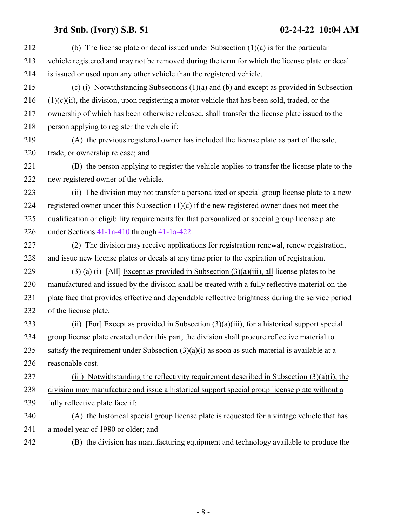| 212 | (b) The license plate or decal issued under Subsection $(1)(a)$ is for the particular             |
|-----|---------------------------------------------------------------------------------------------------|
| 213 | vehicle registered and may not be removed during the term for which the license plate or decal    |
| 214 | is issued or used upon any other vehicle than the registered vehicle.                             |
| 215 | (c) (i) Notwithstanding Subsections $(1)(a)$ and $(b)$ and except as provided in Subsection       |
| 216 | $(1)(c)(ii)$ , the division, upon registering a motor vehicle that has been sold, traded, or the  |
| 217 | ownership of which has been otherwise released, shall transfer the license plate issued to the    |
| 218 | person applying to register the vehicle if:                                                       |
| 219 | (A) the previous registered owner has included the license plate as part of the sale,             |
| 220 | trade, or ownership release; and                                                                  |
| 221 | (B) the person applying to register the vehicle applies to transfer the license plate to the      |
| 222 | new registered owner of the vehicle.                                                              |
| 223 | (ii) The division may not transfer a personalized or special group license plate to a new         |
| 224 | registered owner under this Subsection $(1)(c)$ if the new registered owner does not meet the     |
| 225 | qualification or eligibility requirements for that personalized or special group license plate    |
| 226 | under Sections $41-1a-410$ through $41-1a-422$ .                                                  |
| 227 | (2) The division may receive applications for registration renewal, renew registration,           |
| 228 | and issue new license plates or decals at any time prior to the expiration of registration.       |
| 229 | (3) (a) (i) [AH] Except as provided in Subsection $(3)(a)(iii)$ , all license plates to be        |
| 230 | manufactured and issued by the division shall be treated with a fully reflective material on the  |
| 231 | plate face that provides effective and dependable reflective brightness during the service period |
| 232 | of the license plate.                                                                             |
| 233 | (ii) [For] Except as provided in Subsection $(3)(a)(iii)$ , for a historical support special      |
| 234 | group license plate created under this part, the division shall procure reflective material to    |
| 235 | satisfy the requirement under Subsection $(3)(a)(i)$ as soon as such material is available at a   |
| 236 | reasonable cost.                                                                                  |
| 237 | (iii) Notwithstanding the reflectivity requirement described in Subsection $(3)(a)(i)$ , the      |
| 238 | division may manufacture and issue a historical support special group license plate without a     |
| 239 | fully reflective plate face if:                                                                   |
| 240 | (A) the historical special group license plate is requested for a vintage vehicle that has        |
| 241 | a model year of 1980 or older; and                                                                |
| 242 | (B) the division has manufacturing equipment and technology available to produce the              |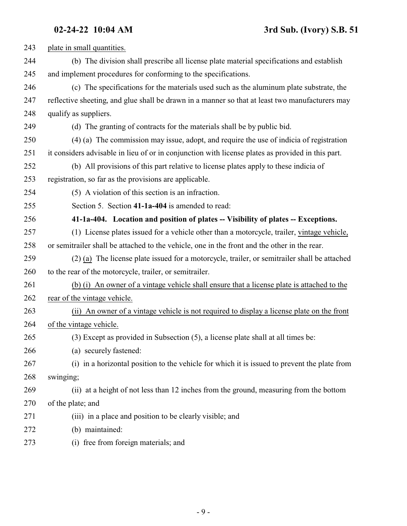<span id="page-8-0"></span>

| 243 | plate in small quantities.                                                                        |
|-----|---------------------------------------------------------------------------------------------------|
| 244 | (b) The division shall prescribe all license plate material specifications and establish          |
| 245 | and implement procedures for conforming to the specifications.                                    |
| 246 | (c) The specifications for the materials used such as the aluminum plate substrate, the           |
| 247 | reflective sheeting, and glue shall be drawn in a manner so that at least two manufacturers may   |
| 248 | qualify as suppliers.                                                                             |
| 249 | (d) The granting of contracts for the materials shall be by public bid.                           |
| 250 | (4) (a) The commission may issue, adopt, and require the use of indicia of registration           |
| 251 | it considers advisable in lieu of or in conjunction with license plates as provided in this part. |
| 252 | (b) All provisions of this part relative to license plates apply to these indicia of              |
| 253 | registration, so far as the provisions are applicable.                                            |
| 254 | (5) A violation of this section is an infraction.                                                 |
| 255 | Section 5. Section 41-1a-404 is amended to read:                                                  |
| 256 | 41-1a-404. Location and position of plates -- Visibility of plates -- Exceptions.                 |
| 257 | (1) License plates issued for a vehicle other than a motorcycle, trailer, vintage vehicle,        |
| 258 | or semitrailer shall be attached to the vehicle, one in the front and the other in the rear.      |
| 259 | (2) (a) The license plate issued for a motorcycle, trailer, or semitrailer shall be attached      |
| 260 | to the rear of the motorcycle, trailer, or semitrailer.                                           |
| 261 | (b) (i) An owner of a vintage vehicle shall ensure that a license plate is attached to the        |
| 262 | rear of the vintage vehicle.                                                                      |
| 263 | (ii) An owner of a vintage vehicle is not required to display a license plate on the front        |
| 264 | of the vintage vehicle.                                                                           |
| 265 | (3) Except as provided in Subsection (5), a license plate shall at all times be:                  |
| 266 | (a) securely fastened:                                                                            |
| 267 | (i) in a horizontal position to the vehicle for which it is issued to prevent the plate from      |
| 268 | swinging;                                                                                         |
| 269 | (ii) at a height of not less than 12 inches from the ground, measuring from the bottom            |
| 270 | of the plate; and                                                                                 |
| 271 | (iii) in a place and position to be clearly visible; and                                          |
| 272 | (b) maintained:                                                                                   |
| 273 | (i) free from foreign materials; and                                                              |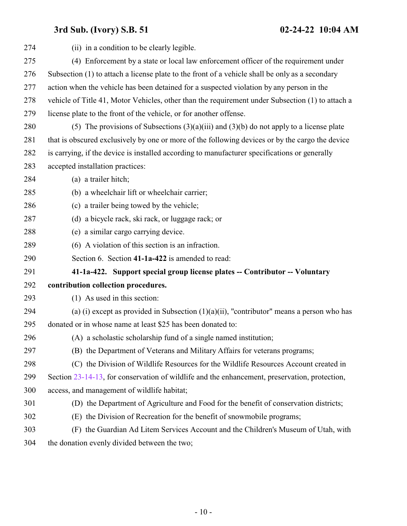<span id="page-9-0"></span>

| 274 | (ii) in a condition to be clearly legible.                                                       |
|-----|--------------------------------------------------------------------------------------------------|
| 275 | (4) Enforcement by a state or local law enforcement officer of the requirement under             |
| 276 | Subsection (1) to attach a license plate to the front of a vehicle shall be only as a secondary  |
| 277 | action when the vehicle has been detained for a suspected violation by any person in the         |
| 278 | vehicle of Title 41, Motor Vehicles, other than the requirement under Subsection (1) to attach a |
| 279 | license plate to the front of the vehicle, or for another offense.                               |
| 280 | (5) The provisions of Subsections $(3)(a)(iii)$ and $(3)(b)$ do not apply to a license plate     |
| 281 | that is obscured exclusively by one or more of the following devices or by the cargo the device  |
| 282 | is carrying, if the device is installed according to manufacturer specifications or generally    |
| 283 | accepted installation practices:                                                                 |
| 284 | (a) a trailer hitch;                                                                             |
| 285 | (b) a wheelchair lift or wheelchair carrier;                                                     |
| 286 | (c) a trailer being towed by the vehicle;                                                        |
| 287 | (d) a bicycle rack, ski rack, or luggage rack; or                                                |
| 288 | (e) a similar cargo carrying device.                                                             |
| 289 | (6) A violation of this section is an infraction.                                                |
| 290 | Section 6. Section 41-1a-422 is amended to read:                                                 |
| 291 | 41-1a-422. Support special group license plates -- Contributor -- Voluntary                      |
| 292 | contribution collection procedures.                                                              |
| 293 | (1) As used in this section:                                                                     |
| 294 | (a) (i) except as provided in Subsection $(1)(a)(ii)$ , "contributor" means a person who has     |
| 295 | donated or in whose name at least \$25 has been donated to:                                      |
| 296 | (A) a scholastic scholarship fund of a single named institution;                                 |
| 297 | (B) the Department of Veterans and Military Affairs for veterans programs;                       |
| 298 | (C) the Division of Wildlife Resources for the Wildlife Resources Account created in             |
| 299 | Section 23-14-13, for conservation of wildlife and the enhancement, preservation, protection,    |
| 300 | access, and management of wildlife habitat;                                                      |
| 301 | (D) the Department of Agriculture and Food for the benefit of conservation districts;            |
| 302 | (E) the Division of Recreation for the benefit of snowmobile programs;                           |
| 303 | (F) the Guardian Ad Litem Services Account and the Children's Museum of Utah, with               |
| 304 | the donation evenly divided between the two;                                                     |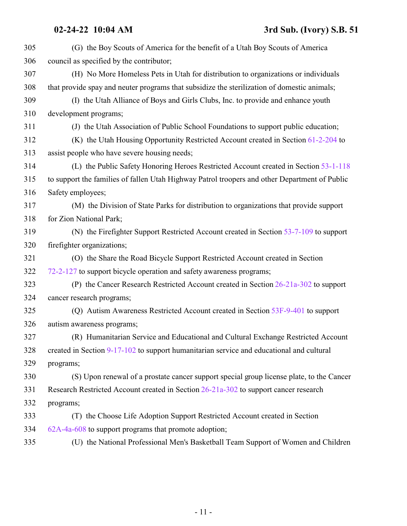| 305 | (G) the Boy Scouts of America for the benefit of a Utah Boy Scouts of America                 |
|-----|-----------------------------------------------------------------------------------------------|
| 306 | council as specified by the contributor;                                                      |
| 307 | (H) No More Homeless Pets in Utah for distribution to organizations or individuals            |
| 308 | that provide spay and neuter programs that subsidize the sterilization of domestic animals;   |
| 309 | (I) the Utah Alliance of Boys and Girls Clubs, Inc. to provide and enhance youth              |
| 310 | development programs;                                                                         |
| 311 | (J) the Utah Association of Public School Foundations to support public education;            |
| 312 | (K) the Utah Housing Opportunity Restricted Account created in Section 61-2-204 to            |
| 313 | assist people who have severe housing needs;                                                  |
| 314 | (L) the Public Safety Honoring Heroes Restricted Account created in Section 53-1-118          |
| 315 | to support the families of fallen Utah Highway Patrol troopers and other Department of Public |
| 316 | Safety employees;                                                                             |
| 317 | (M) the Division of State Parks for distribution to organizations that provide support        |
| 318 | for Zion National Park;                                                                       |
| 319 | (N) the Firefighter Support Restricted Account created in Section 53-7-109 to support         |
| 320 | firefighter organizations;                                                                    |
| 321 | (O) the Share the Road Bicycle Support Restricted Account created in Section                  |
| 322 | 72-2-127 to support bicycle operation and safety awareness programs;                          |
| 323 | (P) the Cancer Research Restricted Account created in Section 26-21a-302 to support           |
| 324 | cancer research programs;                                                                     |
| 325 | (Q) Autism Awareness Restricted Account created in Section 53F-9-401 to support               |
| 326 | autism awareness programs;                                                                    |
| 327 | (R) Humanitarian Service and Educational and Cultural Exchange Restricted Account             |
| 328 | created in Section 9-17-102 to support humanitarian service and educational and cultural      |
| 329 | programs;                                                                                     |
| 330 | (S) Upon renewal of a prostate cancer support special group license plate, to the Cancer      |
| 331 | Research Restricted Account created in Section 26-21a-302 to support cancer research          |
| 332 | programs;                                                                                     |
| 333 | (T) the Choose Life Adoption Support Restricted Account created in Section                    |
| 334 | 62A-4a-608 to support programs that promote adoption;                                         |
| 335 | (U) the National Professional Men's Basketball Team Support of Women and Children             |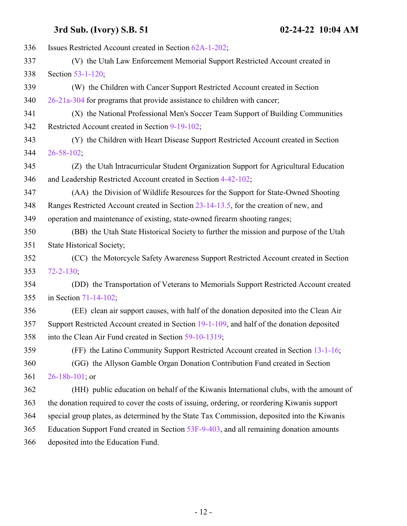| 336 | Issues Restricted Account created in Section 62A-1-202;                                      |
|-----|----------------------------------------------------------------------------------------------|
| 337 | (V) the Utah Law Enforcement Memorial Support Restricted Account created in                  |
| 338 | Section 53-1-120;                                                                            |
| 339 | (W) the Children with Cancer Support Restricted Account created in Section                   |
| 340 | 26-21a-304 for programs that provide assistance to children with cancer;                     |
| 341 | (X) the National Professional Men's Soccer Team Support of Building Communities              |
| 342 | Restricted Account created in Section 9-19-102;                                              |
| 343 | (Y) the Children with Heart Disease Support Restricted Account created in Section            |
| 344 | $26 - 58 - 102$ ;                                                                            |
| 345 | (Z) the Utah Intracurricular Student Organization Support for Agricultural Education         |
| 346 | and Leadership Restricted Account created in Section 4-42-102;                               |
| 347 | (AA) the Division of Wildlife Resources for the Support for State-Owned Shooting             |
| 348 | Ranges Restricted Account created in Section 23-14-13.5, for the creation of new, and        |
| 349 | operation and maintenance of existing, state-owned firearm shooting ranges;                  |
| 350 | (BB) the Utah State Historical Society to further the mission and purpose of the Utah        |
| 351 | <b>State Historical Society;</b>                                                             |
| 352 | (CC) the Motorcycle Safety Awareness Support Restricted Account created in Section           |
| 353 | $72 - 2 - 130;$                                                                              |
| 354 | (DD) the Transportation of Veterans to Memorials Support Restricted Account created          |
| 355 | in Section 71-14-102;                                                                        |
| 356 | (EE) clean air support causes, with half of the donation deposited into the Clean Air        |
| 357 | Support Restricted Account created in Section 19-1-109, and half of the donation deposited   |
| 358 | into the Clean Air Fund created in Section 59-10-1319;                                       |
| 359 | (FF) the Latino Community Support Restricted Account created in Section 13-1-16;             |
| 360 | (GG) the Allyson Gamble Organ Donation Contribution Fund created in Section                  |
| 361 | $26 - 18b - 101$ ; or                                                                        |
| 362 | (HH) public education on behalf of the Kiwanis International clubs, with the amount of       |
| 363 | the donation required to cover the costs of issuing, ordering, or reordering Kiwanis support |
| 364 | special group plates, as determined by the State Tax Commission, deposited into the Kiwanis  |
| 365 | Education Support Fund created in Section 53F-9-403, and all remaining donation amounts      |
| 366 | deposited into the Education Fund.                                                           |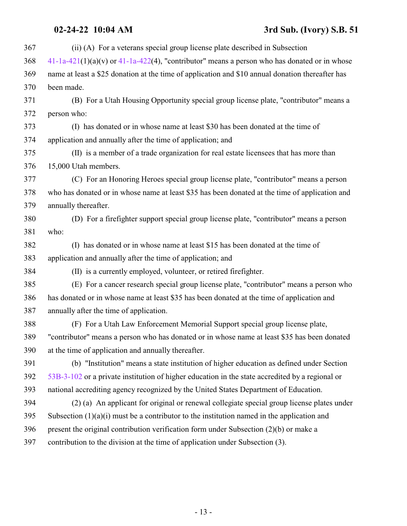## **02-24-22 10:04 AM 3rd Sub. (Ivory) S.B. 51**

| 367 | (ii) (A) For a veterans special group license plate described in Subsection                       |
|-----|---------------------------------------------------------------------------------------------------|
| 368 | $41-1a-421(1)(a)(v)$ or $41-1a-422(4)$ , "contributor" means a person who has donated or in whose |
| 369 | name at least a \$25 donation at the time of application and \$10 annual donation thereafter has  |
| 370 | been made.                                                                                        |
| 371 | (B) For a Utah Housing Opportunity special group license plate, "contributor" means a             |
| 372 | person who:                                                                                       |
| 373 | (I) has donated or in whose name at least \$30 has been donated at the time of                    |
| 374 | application and annually after the time of application; and                                       |
| 375 | (II) is a member of a trade organization for real estate licensees that has more than             |
| 376 | 15,000 Utah members.                                                                              |
| 377 | (C) For an Honoring Heroes special group license plate, "contributor" means a person              |
| 378 | who has donated or in whose name at least \$35 has been donated at the time of application and    |
| 379 | annually thereafter.                                                                              |
| 380 | (D) For a firefighter support special group license plate, "contributor" means a person           |
| 381 | who:                                                                                              |
| 382 | (I) has donated or in whose name at least \$15 has been donated at the time of                    |
| 383 | application and annually after the time of application; and                                       |
| 384 | (II) is a currently employed, volunteer, or retired firefighter.                                  |
| 385 | (E) For a cancer research special group license plate, "contributor" means a person who           |
| 386 | has donated or in whose name at least \$35 has been donated at the time of application and        |
| 387 | annually after the time of application.                                                           |
| 388 | (F) For a Utah Law Enforcement Memorial Support special group license plate,                      |
| 389 | "contributor" means a person who has donated or in whose name at least \$35 has been donated      |
| 390 | at the time of application and annually thereafter.                                               |
| 391 | (b) "Institution" means a state institution of higher education as defined under Section          |
| 392 | 53B-3-102 or a private institution of higher education in the state accredited by a regional or   |
| 393 | national accrediting agency recognized by the United States Department of Education.              |
| 394 | (2) (a) An applicant for original or renewal collegiate special group license plates under        |
| 395 | Subsection $(1)(a)(i)$ must be a contributor to the institution named in the application and      |
| 396 | present the original contribution verification form under Subsection $(2)(b)$ or make a           |
| 397 | contribution to the division at the time of application under Subsection (3).                     |
|     |                                                                                                   |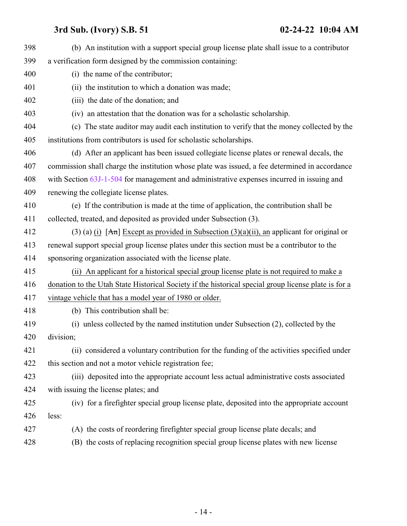| 398 | (b) An institution with a support special group license plate shall issue to a contributor           |
|-----|------------------------------------------------------------------------------------------------------|
| 399 | a verification form designed by the commission containing:                                           |
| 400 | (i) the name of the contributor;                                                                     |
| 401 | (ii) the institution to which a donation was made;                                                   |
| 402 | (iii) the date of the donation; and                                                                  |
| 403 | (iv) an attestation that the donation was for a scholastic scholarship.                              |
| 404 | (c) The state auditor may audit each institution to verify that the money collected by the           |
| 405 | institutions from contributors is used for scholastic scholarships.                                  |
| 406 | (d) After an applicant has been issued collegiate license plates or renewal decals, the              |
| 407 | commission shall charge the institution whose plate was issued, a fee determined in accordance       |
| 408 | with Section 63J-1-504 for management and administrative expenses incurred in issuing and            |
| 409 | renewing the collegiate license plates.                                                              |
| 410 | (e) If the contribution is made at the time of application, the contribution shall be                |
| 411 | collected, treated, and deposited as provided under Subsection (3).                                  |
| 412 | (3) (a) (i) $[An]$ Except as provided in Subsection (3)(a)(ii), an applicant for original or         |
| 413 | renewal support special group license plates under this section must be a contributor to the         |
| 414 | sponsoring organization associated with the license plate.                                           |
| 415 | (ii) An applicant for a historical special group license plate is not required to make a             |
| 416 | donation to the Utah State Historical Society if the historical special group license plate is for a |
| 417 | vintage vehicle that has a model year of 1980 or older.                                              |
| 418 | (b) This contribution shall be:                                                                      |
| 419 | (i) unless collected by the named institution under Subsection (2), collected by the                 |
| 420 | division;                                                                                            |
| 421 | (ii) considered a voluntary contribution for the funding of the activities specified under           |
| 422 | this section and not a motor vehicle registration fee;                                               |
| 423 | (iii) deposited into the appropriate account less actual administrative costs associated             |
| 424 | with issuing the license plates; and                                                                 |
| 425 | (iv) for a firefighter special group license plate, deposited into the appropriate account           |
| 426 | less:                                                                                                |
| 427 | (A) the costs of reordering firefighter special group license plate decals; and                      |
| 428 | (B) the costs of replacing recognition special group license plates with new license                 |
|     |                                                                                                      |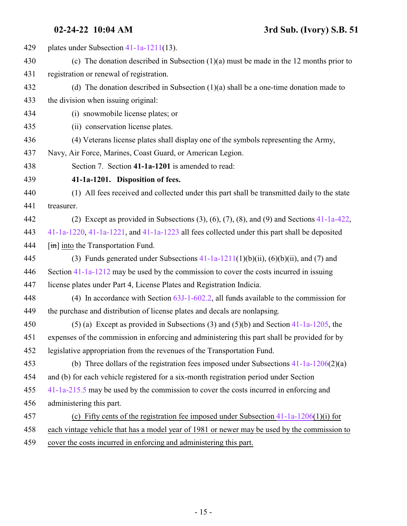<span id="page-14-0"></span> plates under Subsection [41-1a-1211](http://le.utah.gov/UtahCode/SectionLookup.jsp?section=41-1a-1211&session=2022GS)(13). (c) The donation described in Subsection (1)(a) must be made in the 12 months prior to registration or renewal of registration. (d) The donation described in Subsection (1)(a) shall be a one-time donation made to the division when issuing original: (i) snowmobile license plates; or (ii) conservation license plates. (4) Veterans license plates shall display one of the symbols representing the Army, Navy, Air Force, Marines, Coast Guard, or American Legion. Section 7. Section **41-1a-1201** is amended to read: **41-1a-1201. Disposition of fees.** (1) All fees received and collected under this part shall be transmitted daily to the state treasurer. (2) Except as provided in Subsections (3), (6), (7), (8), and (9) and Sections [41-1a-422](#page-9-0), [41-1a-1220](http://le.utah.gov/UtahCode/SectionLookup.jsp?section=41-1a-1220&session=2022GS), [41-1a-1221](http://le.utah.gov/UtahCode/SectionLookup.jsp?section=41-1a-1221&session=2022GS), and [41-1a-1223](http://le.utah.gov/UtahCode/SectionLookup.jsp?section=41-1a-1223&session=2022GS) all fees collected under this part shall be deposited  $\left[\frac{\text{im}}{\text{im}}\right]$  into the Transportation Fund. 445 (3) Funds generated under Subsections  $41-1a-1211(1)(b)(ii)$ ,  $(6)(b)(ii)$ , and  $(7)$  and Section [41-1a-1212](http://le.utah.gov/UtahCode/SectionLookup.jsp?section=41-1a-1212&session=2022GS) may be used by the commission to cover the costs incurred in issuing license plates under Part 4, License Plates and Registration Indicia. (4) In accordance with Section [63J-1-602.2](http://le.utah.gov/UtahCode/SectionLookup.jsp?section=63j-1-602.2&session=2022GS), all funds available to the commission for the purchase and distribution of license plates and decals are nonlapsing. (5) (a) Except as provided in Subsections (3) and (5)(b) and Section [41-1a-1205](http://le.utah.gov/UtahCode/SectionLookup.jsp?section=41-1a-1205&session=2022GS), the expenses of the commission in enforcing and administering this part shall be provided for by legislative appropriation from the revenues of the Transportation Fund. (b) Three dollars of the registration fees imposed under Subsections [41-1a-1206](#page-16-0)(2)(a) and (b) for each vehicle registered for a six-month registration period under Section [41-1a-215.5](http://le.utah.gov/UtahCode/SectionLookup.jsp?section=41-1a-215.5&session=2022GS) may be used by the commission to cover the costs incurred in enforcing and administering this part. (c) Fifty cents of the registration fee imposed under Subsection [41-1a-1206](#page-16-0)(1)(i) for each vintage vehicle that has a model year of 1981 or newer may be used by the commission to cover the costs incurred in enforcing and administering this part.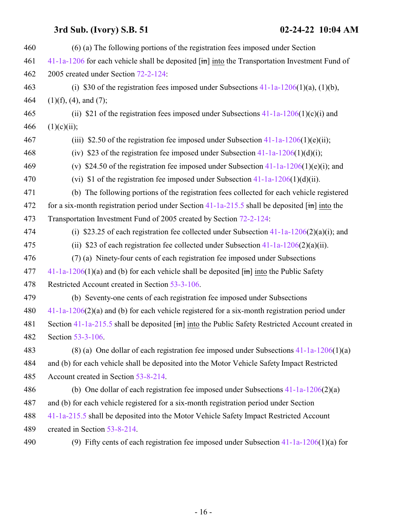| 460 | (6) (a) The following portions of the registration fees imposed under Section                                 |
|-----|---------------------------------------------------------------------------------------------------------------|
| 461 | $41-1a-1206$ for each vehicle shall be deposited $[\text{im}]$ into the Transportation Investment Fund of     |
| 462 | 2005 created under Section 72-2-124:                                                                          |
| 463 | (i) \$30 of the registration fees imposed under Subsections $41-1a-1206(1)(a)$ , $(1)(b)$ ,                   |
| 464 | $(1)(f)$ , $(4)$ , and $(7)$ ;                                                                                |
| 465 | (ii) \$21 of the registration fees imposed under Subsections $41-1a-1206(1)(c)(i)$ and                        |
| 466 | (1)(c)(ii);                                                                                                   |
| 467 | (iii) \$2.50 of the registration fee imposed under Subsection $41-1a-1206(1)(e)$ (ii);                        |
| 468 | (iv) \$23 of the registration fee imposed under Subsection $41-1a-1206(1)(d)(i)$ ;                            |
| 469 | (v) \$24.50 of the registration fee imposed under Subsection $41-1a-1206(1)(e)(i)$ ; and                      |
| 470 | (vi) \$1 of the registration fee imposed under Subsection $41-1a-1206(1)(d)(ii)$ .                            |
| 471 | (b) The following portions of the registration fees collected for each vehicle registered                     |
| 472 | for a six-month registration period under Section $41$ -1a-215.5 shall be deposited $\overline{[m]}$ into the |
| 473 | Transportation Investment Fund of 2005 created by Section 72-2-124:                                           |
| 474 | (i) \$23.25 of each registration fee collected under Subsection $41-1a-1206(2)(a)(i)$ ; and                   |
| 475 | (ii) \$23 of each registration fee collected under Subsection $41-1a-1206(2)(a)(ii)$ .                        |
| 476 | (7) (a) Ninety-four cents of each registration fee imposed under Subsections                                  |
| 477 | $41-1a-1206(1)(a)$ and (b) for each vehicle shall be deposited $\overline{[m]}$ into the Public Safety        |
| 478 | Restricted Account created in Section 53-3-106.                                                               |
| 479 | (b) Seventy-one cents of each registration fee imposed under Subsections                                      |
| 480 | $41-1a-1206(2)(a)$ and (b) for each vehicle registered for a six-month registration period under              |
| 481 | Section 41-1a-215.5 shall be deposited $\overline{[m]}$ into the Public Safety Restricted Account created in  |
| 482 | Section 53-3-106.                                                                                             |
| 483 | (8) (a) One dollar of each registration fee imposed under Subsections $41-1a-1206(1)(a)$                      |
| 484 | and (b) for each vehicle shall be deposited into the Motor Vehicle Safety Impact Restricted                   |
| 485 | Account created in Section 53-8-214.                                                                          |
| 486 | (b) One dollar of each registration fee imposed under Subsections $41-1a-1206(2)(a)$                          |
| 487 | and (b) for each vehicle registered for a six-month registration period under Section                         |
| 488 | 41-1a-215.5 shall be deposited into the Motor Vehicle Safety Impact Restricted Account                        |
| 489 | created in Section 53-8-214.                                                                                  |
| 490 | (9) Fifty cents of each registration fee imposed under Subsection $41-1a-1206(1)(a)$ for                      |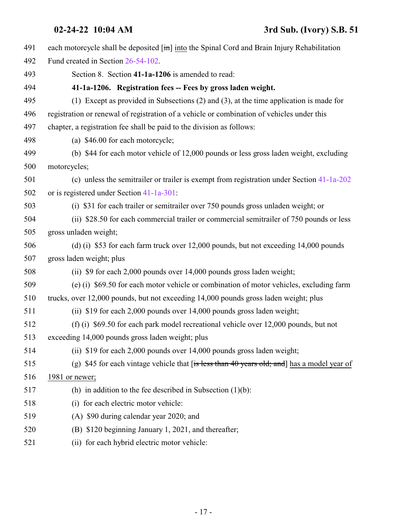<span id="page-16-0"></span>

| 491 | each motorcycle shall be deposited $\left[\frac{\text{in}}{\text{in}}\right]$ into the Spinal Cord and Brain Injury Rehabilitation |
|-----|------------------------------------------------------------------------------------------------------------------------------------|
| 492 | Fund created in Section 26-54-102.                                                                                                 |
| 493 | Section 8. Section 41-1a-1206 is amended to read:                                                                                  |
| 494 | 41-1a-1206. Registration fees -- Fees by gross laden weight.                                                                       |
| 495 | (1) Except as provided in Subsections $(2)$ and $(3)$ , at the time application is made for                                        |
| 496 | registration or renewal of registration of a vehicle or combination of vehicles under this                                         |
| 497 | chapter, a registration fee shall be paid to the division as follows:                                                              |
| 498 | (a) \$46.00 for each motorcycle;                                                                                                   |
| 499 | (b) \$44 for each motor vehicle of 12,000 pounds or less gross laden weight, excluding                                             |
| 500 | motorcycles;                                                                                                                       |
| 501 | (c) unless the semitrailer or trailer is exempt from registration under Section 41-1a-202                                          |
| 502 | or is registered under Section 41-1a-301:                                                                                          |
| 503 | (i) \$31 for each trailer or semitrailer over 750 pounds gross unladen weight; or                                                  |
| 504 | (ii) \$28.50 for each commercial trailer or commercial semitrailer of 750 pounds or less                                           |
| 505 | gross unladen weight;                                                                                                              |
| 506 | (d) (i) \$53 for each farm truck over 12,000 pounds, but not exceeding 14,000 pounds                                               |
| 507 | gross laden weight; plus                                                                                                           |
| 508 | (ii) \$9 for each 2,000 pounds over 14,000 pounds gross laden weight;                                                              |
| 509 | (e) (i) \$69.50 for each motor vehicle or combination of motor vehicles, excluding farm                                            |
| 510 | trucks, over 12,000 pounds, but not exceeding 14,000 pounds gross laden weight; plus                                               |
| 511 | (ii) \$19 for each 2,000 pounds over 14,000 pounds gross laden weight;                                                             |
| 512 | (f) (i) \$69.50 for each park model recreational vehicle over 12,000 pounds, but not                                               |
| 513 | exceeding 14,000 pounds gross laden weight; plus                                                                                   |
| 514 | (ii) $$19$ for each 2,000 pounds over $14,000$ pounds gross laden weight;                                                          |
| 515 | (g) \$45 for each vintage vehicle that $f$ is less than 40 years old; and has a model year of                                      |
| 516 | 1981 or newer;                                                                                                                     |
| 517 | (h) in addition to the fee described in Subsection $(1)(b)$ :                                                                      |
| 518 | (i) for each electric motor vehicle:                                                                                               |
| 519 | (A) \$90 during calendar year 2020; and                                                                                            |
| 520 | (B) \$120 beginning January 1, 2021, and thereafter;                                                                               |
| 521 | (ii) for each hybrid electric motor vehicle:                                                                                       |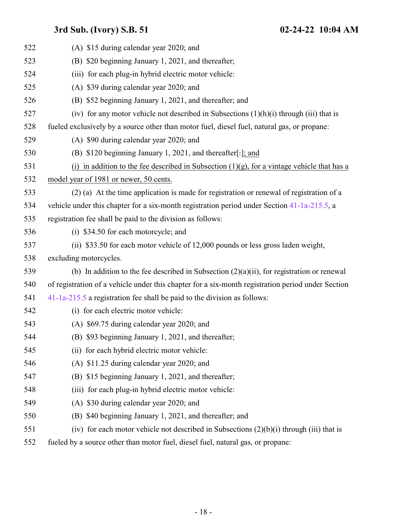| 522 | (A) \$15 during calendar year 2020; and                                                           |
|-----|---------------------------------------------------------------------------------------------------|
| 523 | (B) \$20 beginning January 1, 2021, and thereafter;                                               |
| 524 | (iii) for each plug-in hybrid electric motor vehicle:                                             |
| 525 | (A) \$39 during calendar year 2020; and                                                           |
| 526 | (B) \$52 beginning January 1, 2021, and thereafter; and                                           |
| 527 | (iv) for any motor vehicle not described in Subsections $(1)(h)(i)$ through (iii) that is         |
| 528 | fueled exclusively by a source other than motor fuel, diesel fuel, natural gas, or propane:       |
| 529 | (A) \$90 during calendar year 2020; and                                                           |
| 530 | (B) \$120 beginning January 1, 2021, and thereafter[.]; and                                       |
| 531 | (i) in addition to the fee described in Subsection $(1)(g)$ , for a vintage vehicle that has a    |
| 532 | model year of 1981 or newer, 50 cents.                                                            |
| 533 | (2) (a) At the time application is made for registration or renewal of registration of a          |
| 534 | vehicle under this chapter for a six-month registration period under Section 41-1a-215.5, a       |
| 535 | registration fee shall be paid to the division as follows:                                        |
| 536 | (i) \$34.50 for each motorcycle; and                                                              |
| 537 | (ii) \$33.50 for each motor vehicle of 12,000 pounds or less gross laden weight,                  |
| 538 | excluding motorcycles.                                                                            |
| 539 | (b) In addition to the fee described in Subsection $(2)(a)(ii)$ , for registration or renewal     |
| 540 | of registration of a vehicle under this chapter for a six-month registration period under Section |
| 541 | 41-1a-215.5 a registration fee shall be paid to the division as follows:                          |
| 542 | (i) for each electric motor vehicle:                                                              |
| 543 | (A) \$69.75 during calendar year 2020; and                                                        |
| 544 | (B) \$93 beginning January 1, 2021, and thereafter;                                               |
| 545 | (ii) for each hybrid electric motor vehicle:                                                      |
| 546 | (A) \$11.25 during calendar year 2020; and                                                        |
| 547 | \$15 beginning January 1, 2021, and thereafter;<br>(B)                                            |
| 548 | for each plug-in hybrid electric motor vehicle:<br>(iii)                                          |
| 549 | \$30 during calendar year 2020; and<br>(A)                                                        |
| 550 | \$40 beginning January 1, 2021, and thereafter; and<br>(B)                                        |
| 551 | (iv) for each motor vehicle not described in Subsections $(2)(b)(i)$ through (iii) that is        |

fueled by a source other than motor fuel, diesel fuel, natural gas, or propane: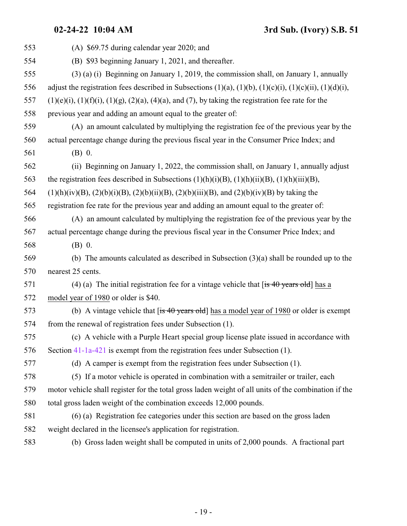**02-24-22 10:04 AM 3rd Sub. (Ivory) S.B. 51**

| 553 | (A) \$69.75 during calendar year 2020; and                                                                             |
|-----|------------------------------------------------------------------------------------------------------------------------|
| 554 | (B) \$93 beginning January 1, 2021, and thereafter.                                                                    |
| 555 | (3) (a) (i) Beginning on January 1, 2019, the commission shall, on January 1, annually                                 |
| 556 | adjust the registration fees described in Subsections $(1)(a)$ , $(1)(b)$ , $(1)(c)(i)$ , $(1)(c)(ii)$ , $(1)(d)(i)$ , |
| 557 | $(1)(e)(i)$ , $(1)(f)(i)$ , $(1)(g)$ , $(2)(a)$ , $(4)(a)$ , and $(7)$ , by taking the registration fee rate for the   |
| 558 | previous year and adding an amount equal to the greater of:                                                            |
| 559 | (A) an amount calculated by multiplying the registration fee of the previous year by the                               |
| 560 | actual percentage change during the previous fiscal year in the Consumer Price Index; and                              |
| 561 | (B) 0.                                                                                                                 |
| 562 | (ii) Beginning on January 1, 2022, the commission shall, on January 1, annually adjust                                 |
| 563 | the registration fees described in Subsections $(1)(h)(i)(B)$ , $(1)(h)(ii)(B)$ , $(1)(h)(iii)(B)$ ,                   |
| 564 | $(1)(h)(iv)(B)$ , $(2)(b)(i)(B)$ , $(2)(b)(ii)(B)$ , $(2)(b)(iii)(B)$ , and $(2)(b)(iv)(B)$ by taking the              |
| 565 | registration fee rate for the previous year and adding an amount equal to the greater of:                              |
| 566 | (A) an amount calculated by multiplying the registration fee of the previous year by the                               |
| 567 | actual percentage change during the previous fiscal year in the Consumer Price Index; and                              |
| 568 | $(B)$ 0.                                                                                                               |
| 569 | (b) The amounts calculated as described in Subsection $(3)(a)$ shall be rounded up to the                              |
| 570 | nearest 25 cents.                                                                                                      |
| 571 | (4) (a) The initial registration fee for a vintage vehicle that $\left[$ is 40 years old $\right]$ has a               |
| 572 | model year of 1980 or older is \$40.                                                                                   |
| 573 | (b) A vintage vehicle that $[$ is 40 years old] has a model year of 1980 or older is exempt                            |
| 574 | from the renewal of registration fees under Subsection (1).                                                            |
| 575 | (c) A vehicle with a Purple Heart special group license plate issued in accordance with                                |
| 576 | Section 41-1a-421 is exempt from the registration fees under Subsection (1).                                           |
| 577 | (d) A camper is exempt from the registration fees under Subsection (1).                                                |
| 578 | (5) If a motor vehicle is operated in combination with a semitrailer or trailer, each                                  |
| 579 | motor vehicle shall register for the total gross laden weight of all units of the combination if the                   |
| 580 | total gross laden weight of the combination exceeds 12,000 pounds.                                                     |
| 581 | (6) (a) Registration fee categories under this section are based on the gross laden                                    |
| 582 | weight declared in the licensee's application for registration.                                                        |
| 583 | (b) Gross laden weight shall be computed in units of 2,000 pounds. A fractional part                                   |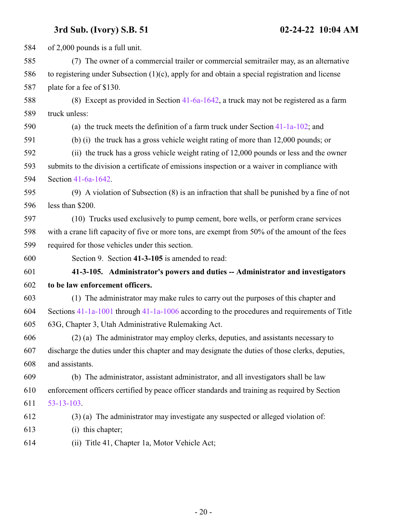<span id="page-19-0"></span> of 2,000 pounds is a full unit. (7) The owner of a commercial trailer or commercial semitrailer may, as an alternative to registering under Subsection (1)(c), apply for and obtain a special registration and license plate for a fee of \$130. (8) Except as provided in Section [41-6a-1642](#page-22-0), a truck may not be registered as a farm truck unless: (a) the truck meets the definition of a farm truck under Section [41-1a-102](http://le.utah.gov/UtahCode/SectionLookup.jsp?section=41-1a-102&session=2022GS); and (b) (i) the truck has a gross vehicle weight rating of more than 12,000 pounds; or (ii) the truck has a gross vehicle weight rating of 12,000 pounds or less and the owner submits to the division a certificate of emissions inspection or a waiver in compliance with Section [41-6a-1642](#page-22-0). (9) A violation of Subsection (8) is an infraction that shall be punished by a fine of not less than \$200. (10) Trucks used exclusively to pump cement, bore wells, or perform crane services with a crane lift capacity of five or more tons, are exempt from 50% of the amount of the fees required for those vehicles under this section. Section 9. Section **41-3-105** is amended to read: **41-3-105. Administrator's powers and duties -- Administrator and investigators to be law enforcement officers.** (1) The administrator may make rules to carry out the purposes of this chapter and Sections [41-1a-1001](http://le.utah.gov/UtahCode/SectionLookup.jsp?section=41-1a-1001&session=2022GS) through [41-1a-1006](http://le.utah.gov/UtahCode/SectionLookup.jsp?section=41-1a-1006&session=2022GS) according to the procedures and requirements of Title 63G, Chapter 3, Utah Administrative Rulemaking Act. (2) (a) The administrator may employ clerks, deputies, and assistants necessary to discharge the duties under this chapter and may designate the duties of those clerks, deputies, and assistants. (b) The administrator, assistant administrator, and all investigators shall be law enforcement officers certified by peace officer standards and training as required by Section [53-13-103](http://le.utah.gov/UtahCode/SectionLookup.jsp?section=53-13-103&session=2022GS). (3) (a) The administrator may investigate any suspected or alleged violation of: (i) this chapter; (ii) Title 41, Chapter 1a, Motor Vehicle Act;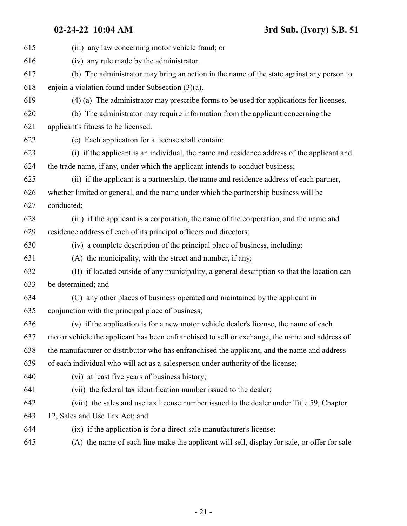| 615 | (iii) any law concerning motor vehicle fraud; or                                               |
|-----|------------------------------------------------------------------------------------------------|
| 616 | (iv) any rule made by the administrator.                                                       |
| 617 | (b) The administrator may bring an action in the name of the state against any person to       |
| 618 | enjoin a violation found under Subsection $(3)(a)$ .                                           |
| 619 | (4) (a) The administrator may prescribe forms to be used for applications for licenses.        |
| 620 | (b) The administrator may require information from the applicant concerning the                |
| 621 | applicant's fitness to be licensed.                                                            |
| 622 | (c) Each application for a license shall contain:                                              |
| 623 | (i) if the applicant is an individual, the name and residence address of the applicant and     |
| 624 | the trade name, if any, under which the applicant intends to conduct business;                 |
| 625 | (ii) if the applicant is a partnership, the name and residence address of each partner,        |
| 626 | whether limited or general, and the name under which the partnership business will be          |
| 627 | conducted;                                                                                     |
| 628 | (iii) if the applicant is a corporation, the name of the corporation, and the name and         |
| 629 | residence address of each of its principal officers and directors;                             |
| 630 | (iv) a complete description of the principal place of business, including:                     |
| 631 | (A) the municipality, with the street and number, if any;                                      |
| 632 | (B) if located outside of any municipality, a general description so that the location can     |
| 633 | be determined; and                                                                             |
| 634 | (C) any other places of business operated and maintained by the applicant in                   |
| 635 | conjunction with the principal place of business;                                              |
| 636 | (v) if the application is for a new motor vehicle dealer's license, the name of each           |
| 637 | motor vehicle the applicant has been enfranchised to sell or exchange, the name and address of |
| 638 | the manufacturer or distributor who has enfranchised the applicant, and the name and address   |
| 639 | of each individual who will act as a salesperson under authority of the license;               |
| 640 | (vi) at least five years of business history;                                                  |
| 641 | (vii) the federal tax identification number issued to the dealer;                              |
| 642 | (viii) the sales and use tax license number issued to the dealer under Title 59, Chapter       |
| 643 | 12, Sales and Use Tax Act; and                                                                 |
| 644 | (ix) if the application is for a direct-sale manufacturer's license:                           |
| 645 | (A) the name of each line-make the applicant will sell, display for sale, or offer for sale    |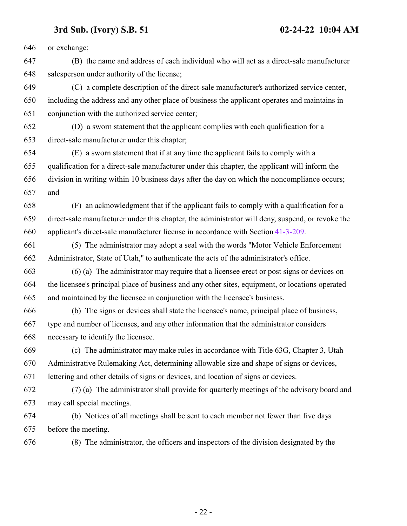or exchange;

 (B) the name and address of each individual who will act as a direct-sale manufacturer salesperson under authority of the license;

 (C) a complete description of the direct-sale manufacturer's authorized service center, including the address and any other place of business the applicant operates and maintains in conjunction with the authorized service center;

 (D) a sworn statement that the applicant complies with each qualification for a direct-sale manufacturer under this chapter;

 (E) a sworn statement that if at any time the applicant fails to comply with a qualification for a direct-sale manufacturer under this chapter, the applicant will inform the division in writing within 10 business days after the day on which the noncompliance occurs; and

 (F) an acknowledgment that if the applicant fails to comply with a qualification for a direct-sale manufacturer under this chapter, the administrator will deny, suspend, or revoke the applicant's direct-sale manufacturer license in accordance with Section [41-3-209](http://le.utah.gov/UtahCode/SectionLookup.jsp?section=41-3-209&session=2022GS).

 (5) The administrator may adopt a seal with the words "Motor Vehicle Enforcement Administrator, State of Utah," to authenticate the acts of the administrator's office.

 (6) (a) The administrator may require that a licensee erect or post signs or devices on the licensee's principal place of business and any other sites, equipment, or locations operated and maintained by the licensee in conjunction with the licensee's business.

 (b) The signs or devices shall state the licensee's name, principal place of business, type and number of licenses, and any other information that the administrator considers necessary to identify the licensee.

 (c) The administrator may make rules in accordance with Title 63G, Chapter 3, Utah Administrative Rulemaking Act, determining allowable size and shape of signs or devices, lettering and other details of signs or devices, and location of signs or devices.

 (7) (a) The administrator shall provide for quarterly meetings of the advisory board and may call special meetings.

 (b) Notices of all meetings shall be sent to each member not fewer than five days before the meeting.

(8) The administrator, the officers and inspectors of the division designated by the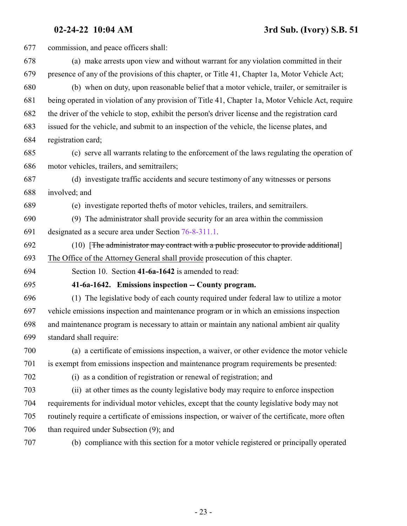<span id="page-22-0"></span>

| 677 | commission, and peace officers shall:                                                             |
|-----|---------------------------------------------------------------------------------------------------|
| 678 | (a) make arrests upon view and without warrant for any violation committed in their               |
| 679 | presence of any of the provisions of this chapter, or Title 41, Chapter 1a, Motor Vehicle Act;    |
| 680 | (b) when on duty, upon reasonable belief that a motor vehicle, trailer, or semitrailer is         |
| 681 | being operated in violation of any provision of Title 41, Chapter 1a, Motor Vehicle Act, require  |
| 682 | the driver of the vehicle to stop, exhibit the person's driver license and the registration card  |
| 683 | issued for the vehicle, and submit to an inspection of the vehicle, the license plates, and       |
| 684 | registration card;                                                                                |
| 685 | (c) serve all warrants relating to the enforcement of the laws regulating the operation of        |
| 686 | motor vehicles, trailers, and semitrailers;                                                       |
| 687 | (d) investigate traffic accidents and secure testimony of any witnesses or persons                |
| 688 | involved; and                                                                                     |
| 689 | (e) investigate reported thefts of motor vehicles, trailers, and semitrailers.                    |
| 690 | (9) The administrator shall provide security for an area within the commission                    |
| 691 | designated as a secure area under Section 76-8-311.1.                                             |
| 692 | (10) [The administrator may contract with a public prosecutor to provide additional]              |
| 693 | The Office of the Attorney General shall provide prosecution of this chapter.                     |
| 694 | Section 10. Section 41-6a-1642 is amended to read:                                                |
| 695 | 41-6a-1642. Emissions inspection -- County program.                                               |
| 696 | (1) The legislative body of each county required under federal law to utilize a motor             |
| 697 | vehicle emissions inspection and maintenance program or in which an emissions inspection          |
| 698 | and maintenance program is necessary to attain or maintain any national ambient air quality       |
| 699 | standard shall require:                                                                           |
| 700 | (a) a certificate of emissions inspection, a waiver, or other evidence the motor vehicle          |
| 701 | is exempt from emissions inspection and maintenance program requirements be presented:            |
| 702 | (i) as a condition of registration or renewal of registration; and                                |
| 703 | (ii) at other times as the county legislative body may require to enforce inspection              |
| 704 | requirements for individual motor vehicles, except that the county legislative body may not       |
| 705 | routinely require a certificate of emissions inspection, or waiver of the certificate, more often |
| 706 | than required under Subsection (9); and                                                           |
| 707 | (b) compliance with this section for a motor vehicle registered or principally operated           |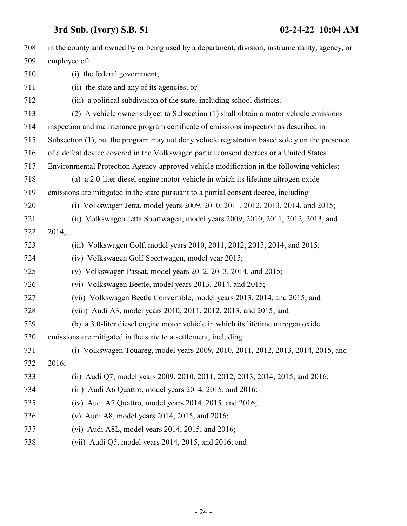| 708 | in the county and owned by or being used by a department, division, instrumentality, agency, or |
|-----|-------------------------------------------------------------------------------------------------|
| 709 | employee of:                                                                                    |
| 710 | (i) the federal government;                                                                     |
| 711 | (ii) the state and any of its agencies; or                                                      |
| 712 | (iii) a political subdivision of the state, including school districts.                         |
| 713 | (2) A vehicle owner subject to Subsection (1) shall obtain a motor vehicle emissions            |
| 714 | inspection and maintenance program certificate of emissions inspection as described in          |
| 715 | Subsection (1), but the program may not deny vehicle registration based solely on the presence  |
| 716 | of a defeat device covered in the Volkswagen partial consent decrees or a United States         |
| 717 | Environmental Protection Agency-approved vehicle modification in the following vehicles:        |
| 718 | (a) a 2.0-liter diesel engine motor vehicle in which its lifetime nitrogen oxide                |
| 719 | emissions are mitigated in the state pursuant to a partial consent decree, including:           |
| 720 | (i) Volkswagen Jetta, model years 2009, 2010, 2011, 2012, 2013, 2014, and 2015;                 |
| 721 | (ii) Volkswagen Jetta Sportwagen, model years 2009, 2010, 2011, 2012, 2013, and                 |
| 722 | 2014;                                                                                           |
| 723 | (iii) Volkswagen Golf, model years 2010, 2011, 2012, 2013, 2014, and 2015;                      |
| 724 | (iv) Volkswagen Golf Sportwagen, model year 2015;                                               |
| 725 | (v) Volkswagen Passat, model years $2012$ , $2013$ , $2014$ , and $2015$ ;                      |
| 726 | (vi) Volkswagen Beetle, model years 2013, 2014, and 2015;                                       |
| 727 | (vii) Volkswagen Beetle Convertible, model years 2013, 2014, and 2015; and                      |
| 728 | (viii) Audi A3, model years 2010, 2011, 2012, 2013, and 2015; and                               |
| 729 | (b) a 3.0-liter diesel engine motor vehicle in which its lifetime nitrogen oxide                |
| 730 | emissions are mitigated in the state to a settlement, including:                                |
| 731 | (i) Volkswagen Touareg, model years 2009, 2010, 2011, 2012, 2013, 2014, 2015, and               |
| 732 | 2016;                                                                                           |
| 733 | (ii) Audi Q7, model years 2009, 2010, 2011, 2012, 2013, 2014, 2015, and 2016;                   |
| 734 | (iii) Audi A6 Quattro, model years 2014, 2015, and 2016;                                        |
| 735 | $(iv)$ Audi A7 Quattro, model years 2014, 2015, and 2016;                                       |
| 736 | (v) Audi A8, model years 2014, 2015, and 2016;                                                  |
| 737 | (vi) Audi A8L, model years $2014$ , $2015$ , and $2016$ ;                                       |
| 738 | (vii) Audi Q5, model years 2014, 2015, and 2016; and                                            |
|     |                                                                                                 |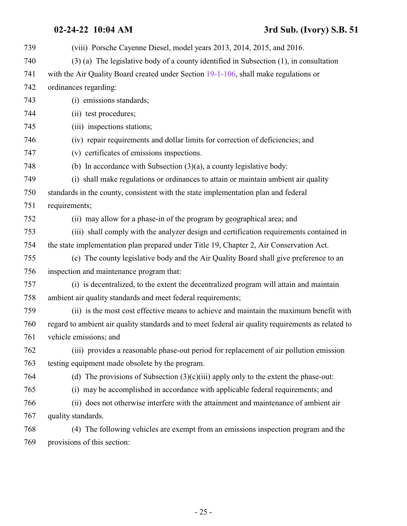## **02-24-22 10:04 AM 3rd Sub. (Ivory) S.B. 51**

| 739 | (viii) Porsche Cayenne Diesel, model years 2013, 2014, 2015, and 2016.                             |
|-----|----------------------------------------------------------------------------------------------------|
| 740 | $(3)$ (a) The legislative body of a county identified in Subsection $(1)$ , in consultation        |
| 741 | with the Air Quality Board created under Section 19-1-106, shall make regulations or               |
| 742 | ordinances regarding:                                                                              |
| 743 | (i) emissions standards;                                                                           |
| 744 | (ii) test procedures;                                                                              |
| 745 | (iii) inspections stations;                                                                        |
| 746 | (iv) repair requirements and dollar limits for correction of deficiencies; and                     |
| 747 | (v) certificates of emissions inspections.                                                         |
| 748 | (b) In accordance with Subsection $(3)(a)$ , a county legislative body:                            |
| 749 | (i) shall make regulations or ordinances to attain or maintain ambient air quality                 |
| 750 | standards in the county, consistent with the state implementation plan and federal                 |
| 751 | requirements;                                                                                      |
| 752 | (ii) may allow for a phase-in of the program by geographical area; and                             |
| 753 | (iii) shall comply with the analyzer design and certification requirements contained in            |
| 754 | the state implementation plan prepared under Title 19, Chapter 2, Air Conservation Act.            |
| 755 | (c) The county legislative body and the Air Quality Board shall give preference to an              |
| 756 | inspection and maintenance program that:                                                           |
| 757 | (i) is decentralized, to the extent the decentralized program will attain and maintain             |
| 758 | ambient air quality standards and meet federal requirements;                                       |
| 759 | (ii) is the most cost effective means to achieve and maintain the maximum benefit with             |
| 760 | regard to ambient air quality standards and to meet federal air quality requirements as related to |
| 761 | vehicle emissions; and                                                                             |
| 762 | (iii) provides a reasonable phase-out period for replacement of air pollution emission             |
| 763 | testing equipment made obsolete by the program.                                                    |
| 764 | (d) The provisions of Subsection $(3)(c)(iii)$ apply only to the extent the phase-out:             |
| 765 | (i) may be accomplished in accordance with applicable federal requirements; and                    |
| 766 | (ii) does not otherwise interfere with the attainment and maintenance of ambient air               |
| 767 | quality standards.                                                                                 |
| 768 | (4) The following vehicles are exempt from an emissions inspection program and the                 |
| 769 | provisions of this section:                                                                        |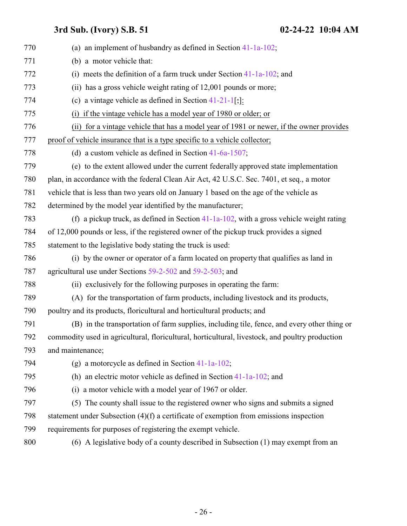| 770 | (a) an implement of husbandry as defined in Section $41-1a-102$ ;                               |
|-----|-------------------------------------------------------------------------------------------------|
| 771 | (b) a motor vehicle that:                                                                       |
| 772 | (i) meets the definition of a farm truck under Section $41-1a-102$ ; and                        |
| 773 | (ii) has a gross vehicle weight rating of 12,001 pounds or more;                                |
| 774 | (c) a vintage vehicle as defined in Section $41-21-1$ [;]:                                      |
| 775 | (i) if the vintage vehicle has a model year of 1980 or older; or                                |
| 776 | (ii) for a vintage vehicle that has a model year of 1981 or newer, if the owner provides        |
| 777 | proof of vehicle insurance that is a type specific to a vehicle collector;                      |
| 778 | (d) a custom vehicle as defined in Section $41-6a-1507$ ;                                       |
| 779 | (e) to the extent allowed under the current federally approved state implementation             |
| 780 | plan, in accordance with the federal Clean Air Act, 42 U.S.C. Sec. 7401, et seq., a motor       |
| 781 | vehicle that is less than two years old on January 1 based on the age of the vehicle as         |
| 782 | determined by the model year identified by the manufacturer;                                    |
| 783 | (f) a pickup truck, as defined in Section $41-1a-102$ , with a gross vehicle weight rating      |
| 784 | of 12,000 pounds or less, if the registered owner of the pickup truck provides a signed         |
| 785 | statement to the legislative body stating the truck is used:                                    |
| 786 | (i) by the owner or operator of a farm located on property that qualifies as land in            |
| 787 | agricultural use under Sections 59-2-502 and 59-2-503; and                                      |
| 788 | (ii) exclusively for the following purposes in operating the farm:                              |
| 789 | (A) for the transportation of farm products, including livestock and its products,              |
| 790 | poultry and its products, floricultural and horticultural products; and                         |
| 791 | (B) in the transportation of farm supplies, including tile, fence, and every other thing or     |
| 792 | commodity used in agricultural, floricultural, horticultural, livestock, and poultry production |
| 793 | and maintenance;                                                                                |
| 794 | (g) a motorcycle as defined in Section $41-1a-102$ ;                                            |
| 795 | (h) an electric motor vehicle as defined in Section $41-1a-102$ ; and                           |
| 796 | (i) a motor vehicle with a model year of 1967 or older.                                         |
| 797 | (5) The county shall issue to the registered owner who signs and submits a signed               |
| 798 | statement under Subsection $(4)(f)$ a certificate of exemption from emissions inspection        |
| 799 | requirements for purposes of registering the exempt vehicle.                                    |
| 800 | (6) A legislative body of a county described in Subsection (1) may exempt from an               |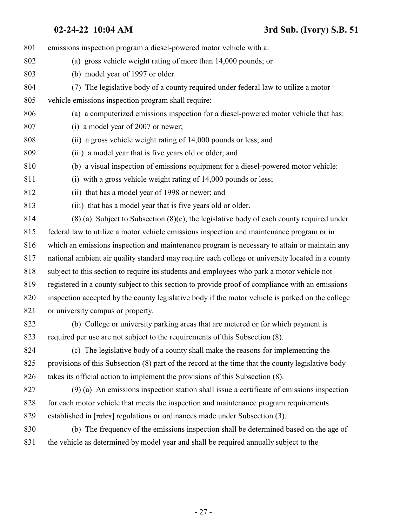emissions inspection program a diesel-powered motor vehicle with a: (a) gross vehicle weight rating of more than 14,000 pounds; or (b) model year of 1997 or older. (7) The legislative body of a county required under federal law to utilize a motor vehicle emissions inspection program shall require: (a) a computerized emissions inspection for a diesel-powered motor vehicle that has: (i) a model year of 2007 or newer; (ii) a gross vehicle weight rating of 14,000 pounds or less; and (iii) a model year that is five years old or older; and (b) a visual inspection of emissions equipment for a diesel-powered motor vehicle: (i) with a gross vehicle weight rating of 14,000 pounds or less; (ii) that has a model year of 1998 or newer; and (iii) that has a model year that is five years old or older. (8) (a) Subject to Subsection (8)(c), the legislative body of each county required under federal law to utilize a motor vehicle emissions inspection and maintenance program or in which an emissions inspection and maintenance program is necessary to attain or maintain any national ambient air quality standard may require each college or university located in a county subject to this section to require its students and employees who park a motor vehicle not registered in a county subject to this section to provide proof of compliance with an emissions inspection accepted by the county legislative body if the motor vehicle is parked on the college 821 or university campus or property. (b) College or university parking areas that are metered or for which payment is required per use are not subject to the requirements of this Subsection (8). (c) The legislative body of a county shall make the reasons for implementing the provisions of this Subsection (8) part of the record at the time that the county legislative body takes its official action to implement the provisions of this Subsection (8). (9) (a) An emissions inspection station shall issue a certificate of emissions inspection for each motor vehicle that meets the inspection and maintenance program requirements established in [rules] regulations or ordinances made under Subsection (3). (b) The frequency of the emissions inspection shall be determined based on the age of the vehicle as determined by model year and shall be required annually subject to the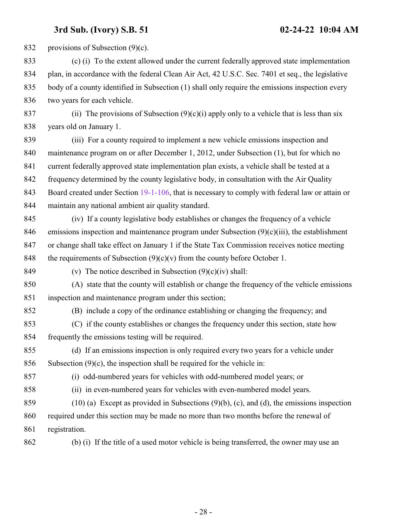832 provisions of Subsection (9)(c).

- (c) (i) To the extent allowed under the current federally approved state implementation plan, in accordance with the federal Clean Air Act, 42 U.S.C. Sec. 7401 et seq., the legislative body of a county identified in Subsection (1) shall only require the emissions inspection every two years for each vehicle.
- 837 (ii) The provisions of Subsection  $(9)(c)(i)$  apply only to a vehicle that is less than six years old on January 1.
- (iii) For a county required to implement a new vehicle emissions inspection and maintenance program on or after December 1, 2012, under Subsection (1), but for which no current federally approved state implementation plan exists, a vehicle shall be tested at a frequency determined by the county legislative body, in consultation with the Air Quality 843 Board created under Section [19-1-106](http://le.utah.gov/UtahCode/SectionLookup.jsp?section=19-1-106&session=2022GS), that is necessary to comply with federal law or attain or maintain any national ambient air quality standard.
- (iv) If a county legislative body establishes or changes the frequency of a vehicle 846 emissions inspection and maintenance program under Subsection  $(9)(c)(iii)$ , the establishment or change shall take effect on January 1 if the State Tax Commission receives notice meeting 848 the requirements of Subsection  $(9)(c)(v)$  from the county before October 1.

849 (v) The notice described in Subsection  $(9)(c)(iv)$  shall:

- (A) state that the county will establish or change the frequency of the vehicle emissions inspection and maintenance program under this section;
- (B) include a copy of the ordinance establishing or changing the frequency; and
- (C) if the county establishes or changes the frequency under this section, state how frequently the emissions testing will be required.
- (d) If an emissions inspection is only required every two years for a vehicle under 856 Subsection  $(9)(c)$ , the inspection shall be required for the vehicle in:
- 

(i) odd-numbered years for vehicles with odd-numbered model years; or

(ii) in even-numbered years for vehicles with even-numbered model years.

- (10) (a) Except as provided in Subsections (9)(b), (c), and (d), the emissions inspection required under this section may be made no more than two months before the renewal of registration.
- (b) (i) If the title of a used motor vehicle is being transferred, the owner may use an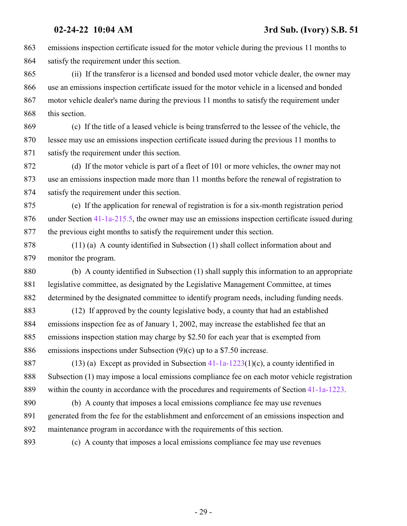emissions inspection certificate issued for the motor vehicle during the previous 11 months to satisfy the requirement under this section.

 (ii) If the transferor is a licensed and bonded used motor vehicle dealer, the owner may use an emissions inspection certificate issued for the motor vehicle in a licensed and bonded motor vehicle dealer's name during the previous 11 months to satisfy the requirement under 868 this section.

 (c) If the title of a leased vehicle is being transferred to the lessee of the vehicle, the lessee may use an emissions inspection certificate issued during the previous 11 months to satisfy the requirement under this section.

 (d) If the motor vehicle is part of a fleet of 101 or more vehicles, the owner may not use an emissions inspection made more than 11 months before the renewal of registration to satisfy the requirement under this section.

 (e) If the application for renewal of registration is for a six-month registration period under Section [41-1a-215.5](http://le.utah.gov/UtahCode/SectionLookup.jsp?section=41-1a-215.5&session=2022GS), the owner may use an emissions inspection certificate issued during the previous eight months to satisfy the requirement under this section.

 (11) (a) A county identified in Subsection (1) shall collect information about and monitor the program.

 (b) A county identified in Subsection (1) shall supply this information to an appropriate legislative committee, as designated by the Legislative Management Committee, at times determined by the designated committee to identify program needs, including funding needs.

 (12) If approved by the county legislative body, a county that had an established emissions inspection fee as of January 1, 2002, may increase the established fee that an emissions inspection station may charge by \$2.50 for each year that is exempted from emissions inspections under Subsection (9)(c) up to a \$7.50 increase.

 (13) (a) Except as provided in Subsection [41-1a-1223](http://le.utah.gov/UtahCode/SectionLookup.jsp?section=41-1a-1223&session=2022GS)(1)(c), a county identified in Subsection (1) may impose a local emissions compliance fee on each motor vehicle registration within the county in accordance with the procedures and requirements of Section [41-1a-1223](http://le.utah.gov/UtahCode/SectionLookup.jsp?section=41-1a-1223&session=2022GS).

 (b) A county that imposes a local emissions compliance fee may use revenues generated from the fee for the establishment and enforcement of an emissions inspection and maintenance program in accordance with the requirements of this section.

(c) A county that imposes a local emissions compliance fee may use revenues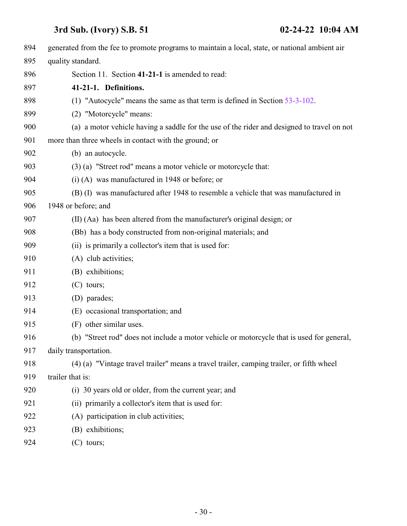<span id="page-29-0"></span>

| generated from the fee to promote programs to maintain a local, state, or national ambient air |
|------------------------------------------------------------------------------------------------|
| quality standard.                                                                              |
| Section 11. Section 41-21-1 is amended to read:                                                |
| 41-21-1. Definitions.                                                                          |
| (1) "Autocycle" means the same as that term is defined in Section 53-3-102.                    |
| (2) "Motorcycle" means:                                                                        |
| (a) a motor vehicle having a saddle for the use of the rider and designed to travel on not     |
| more than three wheels in contact with the ground; or                                          |
| (b) an autocycle.                                                                              |
| (3) (a) "Street rod" means a motor vehicle or motorcycle that:                                 |
| $(i)$ (A) was manufactured in 1948 or before; or                                               |
| (B) (I) was manufactured after 1948 to resemble a vehicle that was manufactured in             |
| 1948 or before; and                                                                            |
| (II) (Aa) has been altered from the manufacturer's original design; or                         |
| (Bb) has a body constructed from non-original materials; and                                   |
| (ii) is primarily a collector's item that is used for:                                         |
| (A) club activities;                                                                           |
| (B) exhibitions;                                                                               |
| $(C)$ tours;                                                                                   |
| (D) parades;                                                                                   |
| (E) occasional transportation; and                                                             |
| (F) other similar uses.                                                                        |
| (b) "Street rod" does not include a motor vehicle or motorcycle that is used for general,      |
| daily transportation.                                                                          |
| (4) (a) "Vintage travel trailer" means a travel trailer, camping trailer, or fifth wheel       |
| trailer that is:                                                                               |
| (i) 30 years old or older, from the current year; and                                          |
| (ii) primarily a collector's item that is used for:                                            |
| (A) participation in club activities;                                                          |
| (B) exhibitions;                                                                               |
| $(C)$ tours;                                                                                   |
|                                                                                                |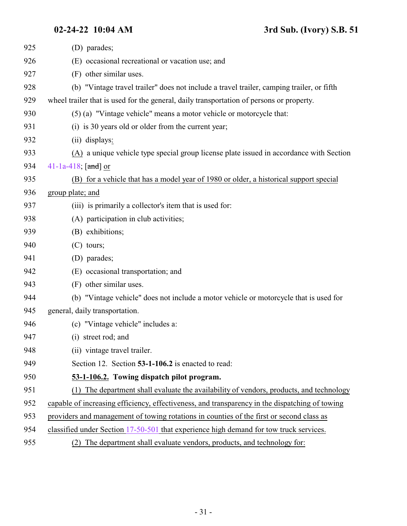<span id="page-30-0"></span>

| 925 | (D) parades;                                                                                   |
|-----|------------------------------------------------------------------------------------------------|
| 926 | (E) occasional recreational or vacation use; and                                               |
| 927 | (F) other similar uses.                                                                        |
| 928 | (b) "Vintage travel trailer" does not include a travel trailer, camping trailer, or fifth      |
| 929 | wheel trailer that is used for the general, daily transportation of persons or property.       |
| 930 | (5) (a) "Vintage vehicle" means a motor vehicle or motorcycle that:                            |
| 931 | (i) is 30 years old or older from the current year;                                            |
| 932 | (ii) displays:                                                                                 |
| 933 | $(A)$ a unique vehicle type special group license plate issued in accordance with Section      |
| 934 | 41-1a-418; $[and]$ or                                                                          |
| 935 | (B) for a vehicle that has a model year of 1980 or older, a historical support special         |
| 936 | group plate; and                                                                               |
| 937 | (iii) is primarily a collector's item that is used for:                                        |
| 938 | (A) participation in club activities;                                                          |
| 939 | (B) exhibitions;                                                                               |
| 940 | $(C)$ tours;                                                                                   |
| 941 | (D) parades;                                                                                   |
| 942 | (E) occasional transportation; and                                                             |
| 943 | (F) other similar uses.                                                                        |
| 944 | (b) "Vintage vehicle" does not include a motor vehicle or motorcycle that is used for          |
| 945 | general, daily transportation.                                                                 |
| 946 | (c) "Vintage vehicle" includes a:                                                              |
| 947 | (i) street rod; and                                                                            |
| 948 | (ii) vintage travel trailer.                                                                   |
| 949 | Section 12. Section 53-1-106.2 is enacted to read:                                             |
| 950 | 53-1-106.2. Towing dispatch pilot program.                                                     |
| 951 | (1) The department shall evaluate the availability of vendors, products, and technology        |
| 952 | capable of increasing efficiency, effectiveness, and transparency in the dispatching of towing |
| 953 | providers and management of towing rotations in counties of the first or second class as       |
| 954 | classified under Section 17-50-501 that experience high demand for tow truck services.         |
| 955 | The department shall evaluate vendors, products, and technology for:<br>(2)                    |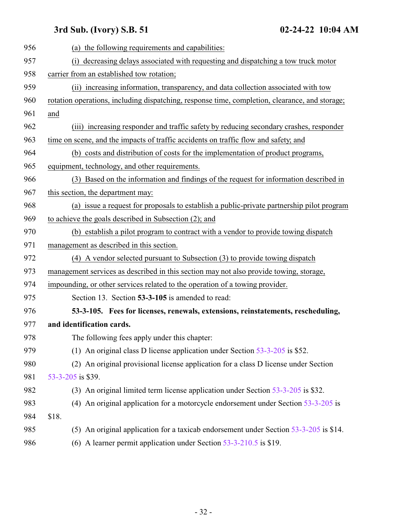<span id="page-31-0"></span>

| 956 | (a) the following requirements and capabilities:                                               |
|-----|------------------------------------------------------------------------------------------------|
| 957 | (i) decreasing delays associated with requesting and dispatching a tow truck motor             |
| 958 | carrier from an established tow rotation;                                                      |
| 959 | (ii) increasing information, transparency, and data collection associated with tow             |
| 960 | rotation operations, including dispatching, response time, completion, clearance, and storage; |
| 961 | and                                                                                            |
| 962 | (iii) increasing responder and traffic safety by reducing secondary crashes, responder         |
| 963 | time on scene, and the impacts of traffic accidents on traffic flow and safety; and            |
| 964 | (b) costs and distribution of costs for the implementation of product programs,                |
| 965 | equipment, technology, and other requirements.                                                 |
| 966 | (3) Based on the information and findings of the request for information described in          |
| 967 | this section, the department may:                                                              |
| 968 | (a) issue a request for proposals to establish a public-private partnership pilot program      |
| 969 | to achieve the goals described in Subsection (2); and                                          |
| 970 | (b) establish a pilot program to contract with a vendor to provide towing dispatch             |
| 971 | management as described in this section.                                                       |
| 972 | (4) A vendor selected pursuant to Subsection (3) to provide towing dispatch                    |
| 973 | management services as described in this section may not also provide towing, storage,         |
| 974 | impounding, or other services related to the operation of a towing provider.                   |
| 975 | Section 13. Section 53-3-105 is amended to read:                                               |
| 976 | 53-3-105. Fees for licenses, renewals, extensions, reinstatements, rescheduling,               |
| 977 | and identification cards.                                                                      |
| 978 | The following fees apply under this chapter:                                                   |
| 979 | (1) An original class D license application under Section $53-3-205$ is \$52.                  |
| 980 | (2) An original provisional license application for a class D license under Section            |
| 981 | 53-3-205 is \$39.                                                                              |
| 982 | (3) An original limited term license application under Section 53-3-205 is \$32.               |
| 983 | (4) An original application for a motorcycle endorsement under Section $53-3-205$ is           |
| 984 | \$18.                                                                                          |
| 985 | (5) An original application for a taxicab endorsement under Section 53-3-205 is \$14.          |
| 986 | (6) A learner permit application under Section $53-3-210.5$ is \$19.                           |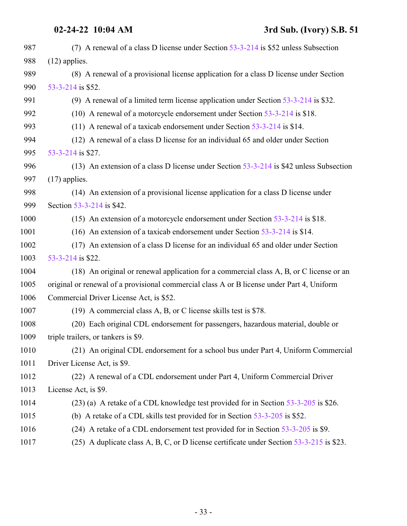| 987  | (7) A renewal of a class D license under Section 53-3-214 is \$52 unless Subsection        |
|------|--------------------------------------------------------------------------------------------|
| 988  | $(12)$ applies.                                                                            |
| 989  | (8) A renewal of a provisional license application for a class D license under Section     |
| 990  | 53-3-214 is \$52.                                                                          |
| 991  | (9) A renewal of a limited term license application under Section $53-3-214$ is \$32.      |
| 992  | (10) A renewal of a motorcycle endorsement under Section 53-3-214 is \$18.                 |
| 993  | (11) A renewal of a taxicab endorsement under Section $53-3-214$ is \$14.                  |
| 994  | (12) A renewal of a class D license for an individual 65 and older under Section           |
| 995  | 53-3-214 is \$27.                                                                          |
| 996  | (13) An extension of a class D license under Section $53-3-214$ is \$42 unless Subsection  |
| 997  | $(17)$ applies.                                                                            |
| 998  | (14) An extension of a provisional license application for a class D license under         |
| 999  | Section 53-3-214 is \$42.                                                                  |
| 1000 | (15) An extension of a motorcycle endorsement under Section $53-3-214$ is \$18.            |
| 1001 | (16) An extension of a taxicab endorsement under Section $53-3-214$ is \$14.               |
| 1002 | (17) An extension of a class D license for an individual 65 and older under Section        |
| 1003 | 53-3-214 is \$22.                                                                          |
| 1004 | (18) An original or renewal application for a commercial class A, B, or C license or an    |
| 1005 | original or renewal of a provisional commercial class A or B license under Part 4, Uniform |
| 1006 | Commercial Driver License Act, is \$52.                                                    |
| 1007 | (19) A commercial class A, B, or C license skills test is \$78.                            |
| 1008 | (20) Each original CDL endorsement for passengers, hazardous material, double or           |
| 1009 | triple trailers, or tankers is \$9.                                                        |
| 1010 | (21) An original CDL endorsement for a school bus under Part 4, Uniform Commercial         |
| 1011 | Driver License Act, is \$9.                                                                |
| 1012 | (22) A renewal of a CDL endorsement under Part 4, Uniform Commercial Driver                |
| 1013 | License Act, is \$9.                                                                       |
| 1014 | (23) (a) A retake of a CDL knowledge test provided for in Section 53-3-205 is \$26.        |
| 1015 | (b) A retake of a CDL skills test provided for in Section $53-3-205$ is \$52.              |
| 1016 | (24) A retake of a CDL endorsement test provided for in Section 53-3-205 is \$9.           |
| 1017 | (25) A duplicate class A, B, C, or D license certificate under Section 53-3-215 is \$23.   |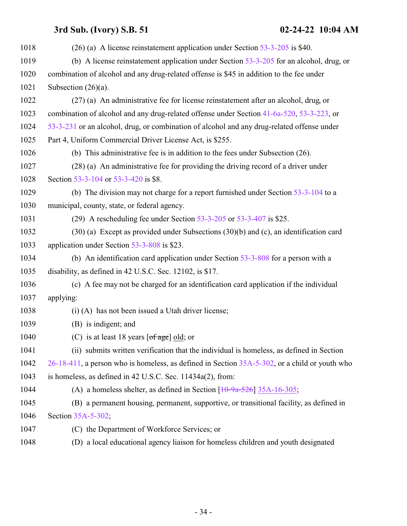| 1018 | $(26)$ (a) A license reinstatement application under Section 53-3-205 is \$40.                   |
|------|--------------------------------------------------------------------------------------------------|
| 1019 | (b) A license reinstatement application under Section $53-3-205$ for an alcohol, drug, or        |
| 1020 | combination of alcohol and any drug-related offense is \$45 in addition to the fee under         |
| 1021 | Subsection $(26)(a)$ .                                                                           |
| 1022 | (27) (a) An administrative fee for license reinstatement after an alcohol, drug, or              |
| 1023 | combination of alcohol and any drug-related offense under Section 41-6a-520, 53-3-223, or        |
| 1024 | 53-3-231 or an alcohol, drug, or combination of alcohol and any drug-related offense under       |
| 1025 | Part 4, Uniform Commercial Driver License Act, is \$255.                                         |
| 1026 | (b) This administrative fee is in addition to the fees under Subsection $(26)$ .                 |
| 1027 | (28) (a) An administrative fee for providing the driving record of a driver under                |
| 1028 | Section 53-3-104 or 53-3-420 is \$8.                                                             |
| 1029 | (b) The division may not charge for a report furnished under Section $53-3-104$ to a             |
| 1030 | municipal, county, state, or federal agency.                                                     |
| 1031 | (29) A rescheduling fee under Section $53-3-205$ or $53-3-407$ is \$25.                          |
| 1032 | $(30)$ (a) Except as provided under Subsections $(30)(b)$ and $(c)$ , an identification card     |
| 1033 | application under Section 53-3-808 is \$23.                                                      |
| 1034 | (b) An identification card application under Section $53-3-808$ for a person with a              |
| 1035 | disability, as defined in 42 U.S.C. Sec. 12102, is \$17.                                         |
| 1036 | (c) A fee may not be charged for an identification card application if the individual            |
| 1037 | applying:                                                                                        |
| 1038 | (i) (A) has not been issued a Utah driver license;                                               |
| 1039 | (B) is indigent; and                                                                             |
| 1040 | (C) is at least 18 years $[\text{of age}]$ old; or                                               |
| 1041 | (ii) submits written verification that the individual is homeless, as defined in Section         |
| 1042 | 26-18-411, a person who is homeless, as defined in Section 35A-5-302, or a child or youth who    |
| 1043 | is homeless, as defined in 42 U.S.C. Sec. 11434a(2), from:                                       |
| 1044 | (A) a homeless shelter, as defined in Section $\left[10\text{-}9a\text{-}526\right]$ 35A-16-305; |
| 1045 | (B) a permanent housing, permanent, supportive, or transitional facility, as defined in          |
| 1046 | Section 35A-5-302;                                                                               |
| 1047 | (C) the Department of Workforce Services; or                                                     |
| 1048 | (D) a local educational agency liaison for homeless children and youth designated                |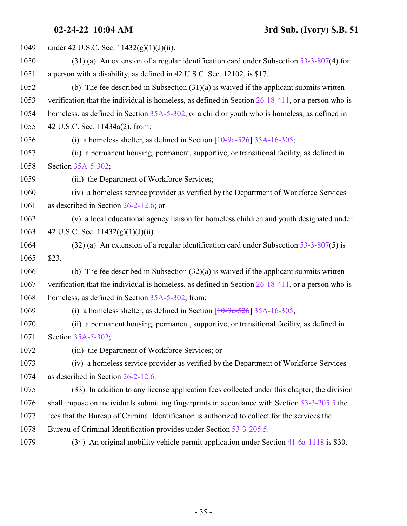| 1049 | under 42 U.S.C. Sec. $11432(g)(1)(J)(ii)$ .                                                          |
|------|------------------------------------------------------------------------------------------------------|
| 1050 | $(31)$ (a) An extension of a regular identification card under Subsection 53-3-807(4) for            |
| 1051 | a person with a disability, as defined in 42 U.S.C. Sec. 12102, is \$17.                             |
| 1052 | (b) The fee described in Subsection $(31)(a)$ is waived if the applicant submits written             |
| 1053 | verification that the individual is homeless, as defined in Section $26-18-411$ , or a person who is |
| 1054 | homeless, as defined in Section 35A-5-302, or a child or youth who is homeless, as defined in        |
| 1055 | 42 U.S.C. Sec. 11434a(2), from:                                                                      |
| 1056 | (i) a homeless shelter, as defined in Section $\left[10\text{-}9a\text{-}526\right]$ 35A-16-305;     |
| 1057 | (ii) a permanent housing, permanent, supportive, or transitional facility, as defined in             |
| 1058 | Section 35A-5-302;                                                                                   |
| 1059 | (iii) the Department of Workforce Services;                                                          |
| 1060 | (iv) a homeless service provider as verified by the Department of Workforce Services                 |
| 1061 | as described in Section $26-2-12.6$ ; or                                                             |
| 1062 | (v) a local educational agency liaison for homeless children and youth designated under              |
| 1063 | 42 U.S.C. Sec. $11432(g)(1)(J)(ii)$ .                                                                |
| 1064 | $(32)$ (a) An extension of a regular identification card under Subsection 53-3-807(5) is             |
| 1065 | \$23.                                                                                                |
| 1066 | (b) The fee described in Subsection $(32)(a)$ is waived if the applicant submits written             |
| 1067 | verification that the individual is homeless, as defined in Section $26-18-411$ , or a person who is |
| 1068 | homeless, as defined in Section 35A-5-302, from:                                                     |
| 1069 | (i) a homeless shelter, as defined in Section $\left[10\text{-}9a\text{-}526\right]$ 35A-16-305;     |
| 1070 | (ii) a permanent housing, permanent, supportive, or transitional facility, as defined in             |
| 1071 | Section 35A-5-302;                                                                                   |
| 1072 | (iii) the Department of Workforce Services; or                                                       |
| 1073 | (iv) a homeless service provider as verified by the Department of Workforce Services                 |
| 1074 | as described in Section 26-2-12.6.                                                                   |
| 1075 | (33) In addition to any license application fees collected under this chapter, the division          |
| 1076 | shall impose on individuals submitting fingerprints in accordance with Section 53-3-205.5 the        |
| 1077 | fees that the Bureau of Criminal Identification is authorized to collect for the services the        |
| 1078 | Bureau of Criminal Identification provides under Section 53-3-205.5.                                 |
| 1079 | (34) An original mobility vehicle permit application under Section 41-6a-1118 is \$30.               |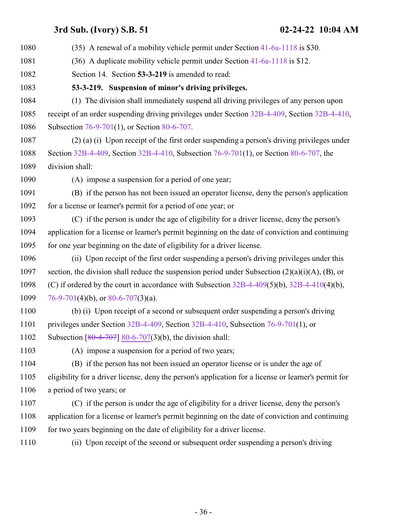<span id="page-35-0"></span> (35) A renewal of a mobility vehicle permit under Section [41-6a-1118](http://le.utah.gov/UtahCode/SectionLookup.jsp?section=41-6a-1118&session=2022GS) is \$30. (36) A duplicate mobility vehicle permit under Section [41-6a-1118](http://le.utah.gov/UtahCode/SectionLookup.jsp?section=41-6a-1118&session=2022GS) is \$12. Section 14. Section **53-3-219** is amended to read: **53-3-219. Suspension of minor's driving privileges.** (1) The division shall immediately suspend all driving privileges of any person upon receipt of an order suspending driving privileges under Section [32B-4-409](http://le.utah.gov/UtahCode/SectionLookup.jsp?section=32b-4-409&session=2022GS), Section [32B-4-410](http://le.utah.gov/UtahCode/SectionLookup.jsp?section=32b-4-410&session=2022GS), Subsection [76-9-701](http://le.utah.gov/UtahCode/SectionLookup.jsp?section=76-9-701&session=2022GS)(1), or Section [80-6-707](http://le.utah.gov/UtahCode/SectionLookup.jsp?section=80-6-707&session=2022GS). (2) (a) (i) Upon receipt of the first order suspending a person's driving privileges under Section [32B-4-409](http://le.utah.gov/UtahCode/SectionLookup.jsp?section=32b-4-409&session=2022GS), Section [32B-4-410](http://le.utah.gov/UtahCode/SectionLookup.jsp?section=32b-4-410&session=2022GS), Subsection [76-9-701](http://le.utah.gov/UtahCode/SectionLookup.jsp?section=76-9-701&session=2022GS)(1), or Section [80-6-707](http://le.utah.gov/UtahCode/SectionLookup.jsp?section=80-6-707&session=2022GS), the division shall: (A) impose a suspension for a period of one year; (B) if the person has not been issued an operator license, deny the person's application for a license or learner's permit for a period of one year; or (C) if the person is under the age of eligibility for a driver license, deny the person's application for a license or learner's permit beginning on the date of conviction and continuing for one year beginning on the date of eligibility for a driver license. (ii) Upon receipt of the first order suspending a person's driving privileges under this 1097 section, the division shall reduce the suspension period under Subsection  $(2)(a)(i)(A)$ ,  $(B)$ , or (C) if ordered by the court in accordance with Subsection [32B-4-409](http://le.utah.gov/UtahCode/SectionLookup.jsp?section=32b-4-409&session=2022GS)(5)(b), [32B-4-410](http://le.utah.gov/UtahCode/SectionLookup.jsp?section=32b-4-410&session=2022GS)(4)(b), [76-9-701](http://le.utah.gov/UtahCode/SectionLookup.jsp?section=76-9-701&session=2022GS)(4)(b), or  $80-6-707(3)$ (a). (b) (i) Upon receipt of a second or subsequent order suspending a person's driving privileges under Section [32B-4-409](http://le.utah.gov/UtahCode/SectionLookup.jsp?section=32b-4-409&session=2022GS), Section [32B-4-410](http://le.utah.gov/UtahCode/SectionLookup.jsp?section=32b-4-410&session=2022GS), Subsection [76-9-701](http://le.utah.gov/UtahCode/SectionLookup.jsp?section=76-9-701&session=2022GS)(1), or 1102 Subsection  $[80-4-707]$  $[80-4-707]$  [80-6-707](http://le.utah.gov/UtahCode/SectionLookup.jsp?section=80-6-707&session=2022GS)(3)(b), the division shall: (A) impose a suspension for a period of two years; (B) if the person has not been issued an operator license or is under the age of eligibility for a driver license, deny the person's application for a license or learner's permit for a period of two years; or (C) if the person is under the age of eligibility for a driver license, deny the person's application for a license or learner's permit beginning on the date of conviction and continuing 1109 for two years beginning on the date of eligibility for a driver license. (ii) Upon receipt of the second or subsequent order suspending a person's driving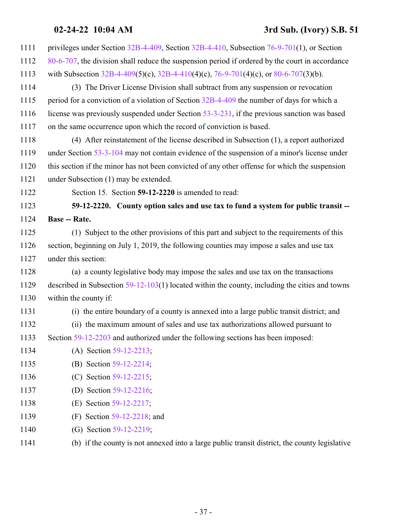### <span id="page-36-0"></span>**02-24-22 10:04 AM 3rd Sub. (Ivory) S.B. 51**

| 1111 | privileges under Section 32B-4-409, Section 32B-4-410, Subsection 76-9-701(1), or Section        |
|------|--------------------------------------------------------------------------------------------------|
| 1112 | 80-6-707, the division shall reduce the suspension period if ordered by the court in accordance  |
| 1113 | with Subsection 32B-4-409(5)(c), 32B-4-410(4)(c), 76-9-701(4)(c), or 80-6-707(3)(b).             |
| 1114 | (3) The Driver License Division shall subtract from any suspension or revocation                 |
| 1115 | period for a conviction of a violation of Section 32B-4-409 the number of days for which a       |
| 1116 | license was previously suspended under Section 53-3-231, if the previous sanction was based      |
| 1117 | on the same occurrence upon which the record of conviction is based.                             |
| 1118 | (4) After reinstatement of the license described in Subsection (1), a report authorized          |
| 1119 | under Section 53-3-104 may not contain evidence of the suspension of a minor's license under     |
| 1120 | this section if the minor has not been convicted of any other offense for which the suspension   |
| 1121 | under Subsection (1) may be extended.                                                            |
| 1122 | Section 15. Section 59-12-2220 is amended to read:                                               |
| 1123 | 59-12-2220. County option sales and use tax to fund a system for public transit --               |
| 1124 | <b>Base -- Rate.</b>                                                                             |
| 1125 | (1) Subject to the other provisions of this part and subject to the requirements of this         |
| 1126 | section, beginning on July 1, 2019, the following counties may impose a sales and use tax        |
| 1127 | under this section:                                                                              |
| 1128 | (a) a county legislative body may impose the sales and use tax on the transactions               |
| 1129 | described in Subsection $59-12-103(1)$ located within the county, including the cities and towns |
| 1130 | within the county if:                                                                            |
| 1131 | (i) the entire boundary of a county is annexed into a large public transit district; and         |
| 1132 | (ii) the maximum amount of sales and use tax authorizations allowed pursuant to                  |
| 1133 | Section 59-12-2203 and authorized under the following sections has been imposed:                 |
| 1134 | (A) Section 59-12-2213;                                                                          |
| 1135 | (B) Section 59-12-2214;                                                                          |
| 1136 | (C) Section 59-12-2215;                                                                          |
| 1137 | (D) Section 59-12-2216;                                                                          |
| 1138 | (E) Section 59-12-2217;                                                                          |
| 1139 | Section 59-12-2218; and<br>(F)                                                                   |
| 1140 | (G) Section 59-12-2219;                                                                          |
| 1141 | (b) if the county is not annexed into a large public transit district, the county legislative    |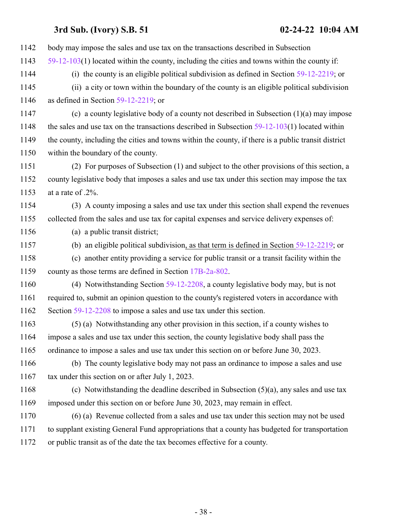| 1142 | body may impose the sales and use tax on the transactions described in Subsection                   |
|------|-----------------------------------------------------------------------------------------------------|
| 1143 | $59-12-103(1)$ located within the county, including the cities and towns within the county if:      |
| 1144 | (i) the county is an eligible political subdivision as defined in Section $59-12-2219$ ; or         |
| 1145 | (ii) a city or town within the boundary of the county is an eligible political subdivision          |
| 1146 | as defined in Section $59-12-2219$ ; or                                                             |
| 1147 | (c) a county legislative body of a county not described in Subsection $(1)(a)$ may impose           |
| 1148 | the sales and use tax on the transactions described in Subsection $59-12-103(1)$ located within     |
| 1149 | the county, including the cities and towns within the county, if there is a public transit district |
| 1150 | within the boundary of the county.                                                                  |
| 1151 | (2) For purposes of Subsection (1) and subject to the other provisions of this section, a           |
| 1152 | county legislative body that imposes a sales and use tax under this section may impose the tax      |
| 1153 | at a rate of .2%.                                                                                   |
| 1154 | (3) A county imposing a sales and use tax under this section shall expend the revenues              |
| 1155 | collected from the sales and use tax for capital expenses and service delivery expenses of:         |
| 1156 | (a) a public transit district;                                                                      |
| 1157 | (b) an eligible political subdivision, as that term is defined in Section $59-12-2219$ ; or         |
| 1158 | (c) another entity providing a service for public transit or a transit facility within the          |
| 1159 | county as those terms are defined in Section 17B-2a-802.                                            |
| 1160 | (4) Notwithstanding Section $59-12-2208$ , a county legislative body may, but is not                |
| 1161 | required to, submit an opinion question to the county's registered voters in accordance with        |
| 1162 | Section 59-12-2208 to impose a sales and use tax under this section.                                |
| 1163 | (5) (a) Notwithstanding any other provision in this section, if a county wishes to                  |
| 1164 | impose a sales and use tax under this section, the county legislative body shall pass the           |
| 1165 | ordinance to impose a sales and use tax under this section on or before June 30, 2023.              |
| 1166 | (b) The county legislative body may not pass an ordinance to impose a sales and use                 |
| 1167 | tax under this section on or after July 1, 2023.                                                    |
| 1168 | (c) Notwithstanding the deadline described in Subsection $(5)(a)$ , any sales and use tax           |
| 1169 | imposed under this section on or before June 30, 2023, may remain in effect.                        |
| 1170 | (6) (a) Revenue collected from a sales and use tax under this section may not be used               |
| 1171 | to supplant existing General Fund appropriations that a county has budgeted for transportation      |
| 1172 | or public transit as of the date the tax becomes effective for a county.                            |
|      |                                                                                                     |
|      |                                                                                                     |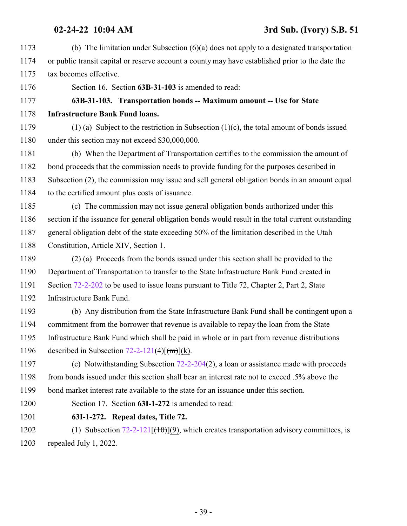- <span id="page-38-0"></span> (b) The limitation under Subsection (6)(a) does not apply to a designated transportation or public transit capital or reserve account a county may have established prior to the date the tax becomes effective. Section 16. Section **63B-31-103** is amended to read: **63B-31-103. Transportation bonds -- Maximum amount -- Use for State Infrastructure Bank Fund loans.** (1) (a) Subject to the restriction in Subsection (1)(c), the total amount of bonds issued under this section may not exceed \$30,000,000. (b) When the Department of Transportation certifies to the commission the amount of bond proceeds that the commission needs to provide funding for the purposes described in Subsection (2), the commission may issue and sell general obligation bonds in an amount equal to the certified amount plus costs of issuance. (c) The commission may not issue general obligation bonds authorized under this section if the issuance for general obligation bonds would result in the total current outstanding general obligation debt of the state exceeding 50% of the limitation described in the Utah Constitution, Article XIV, Section 1. (2) (a) Proceeds from the bonds issued under this section shall be provided to the Department of Transportation to transfer to the State Infrastructure Bank Fund created in 1191 Section [72-2-202](http://le.utah.gov/UtahCode/SectionLookup.jsp?section=72-2-202&session=2022GS) to be used to issue loans pursuant to Title 72, Chapter 2, Part 2, State Infrastructure Bank Fund. (b) Any distribution from the State Infrastructure Bank Fund shall be contingent upon a commitment from the borrower that revenue is available to repay the loan from the State Infrastructure Bank Fund which shall be paid in whole or in part from revenue distributions 1196 described in Subsection  $72-2-121(4)$ [ $\text{fm}$ ](k). (c) Notwithstanding Subsection [72-2-204](http://le.utah.gov/UtahCode/SectionLookup.jsp?section=72-2-204&session=2022GS)(2), a loan or assistance made with proceeds 1198 from bonds issued under this section shall bear an interest rate not to exceed .5% above the bond market interest rate available to the state for an issuance under this section. Section 17. Section **63I-1-272** is amended to read:
- <span id="page-38-1"></span>**63I-1-272. Repeal dates, Title 72.**
- 1202 (1) Subsection  $72-2-121$   $[(10)(9)$ , which creates transportation advisory committees, is repealed July 1, 2022.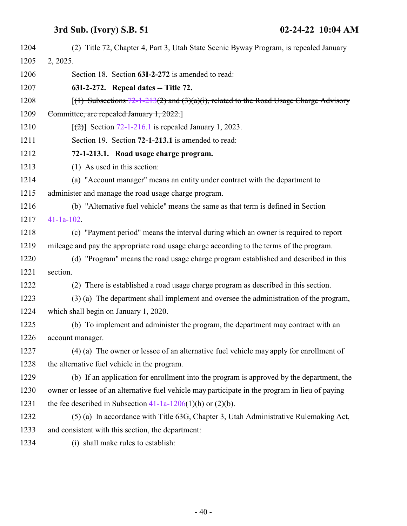<span id="page-39-1"></span><span id="page-39-0"></span>

| 1204 | (2) Title 72, Chapter 4, Part 3, Utah State Scenic Byway Program, is repealed January           |
|------|-------------------------------------------------------------------------------------------------|
| 1205 | 2, 2025.                                                                                        |
| 1206 | Section 18. Section 63I-2-272 is amended to read:                                               |
| 1207 | 63I-2-272. Repeal dates -- Title 72.                                                            |
| 1208 | $(1)$ Subsections 72-1-213(2) and (3)(a)(i), related to the Road Usage Charge Advisory          |
| 1209 | Committee, are repealed January 1, 2022.                                                        |
| 1210 | $[26]$ Section 72-1-216.1 is repealed January 1, 2023.                                          |
| 1211 | Section 19. Section 72-1-213.1 is amended to read:                                              |
| 1212 | 72-1-213.1. Road usage charge program.                                                          |
| 1213 | (1) As used in this section:                                                                    |
| 1214 | (a) "Account manager" means an entity under contract with the department to                     |
| 1215 | administer and manage the road usage charge program.                                            |
| 1216 | (b) "Alternative fuel vehicle" means the same as that term is defined in Section                |
| 1217 | $41-1a-102$ .                                                                                   |
| 1218 | (c) "Payment period" means the interval during which an owner is required to report             |
| 1219 | mileage and pay the appropriate road usage charge according to the terms of the program.        |
| 1220 | (d) "Program" means the road usage charge program established and described in this             |
| 1221 | section.                                                                                        |
| 1222 | (2) There is established a road usage charge program as described in this section.              |
| 1223 | (3) (a) The department shall implement and oversee the administration of the program,           |
| 1224 | which shall begin on January 1, 2020.                                                           |
| 1225 | (b) To implement and administer the program, the department may contract with an                |
| 1226 | account manager.                                                                                |
| 1227 | $(4)$ (a) The owner or lessee of an alternative fuel vehicle may apply for enrollment of        |
| 1228 | the alternative fuel vehicle in the program.                                                    |
| 1229 | (b) If an application for enrollment into the program is approved by the department, the        |
| 1230 | owner or lessee of an alternative fuel vehicle may participate in the program in lieu of paying |
| 1231 | the fee described in Subsection $41-1a-1206(1)(h)$ or $(2)(b)$ .                                |
| 1232 | $(5)$ (a) In accordance with Title 63G, Chapter 3, Utah Administrative Rulemaking Act,          |
| 1233 | and consistent with this section, the department:                                               |
| 1234 | (i) shall make rules to establish:                                                              |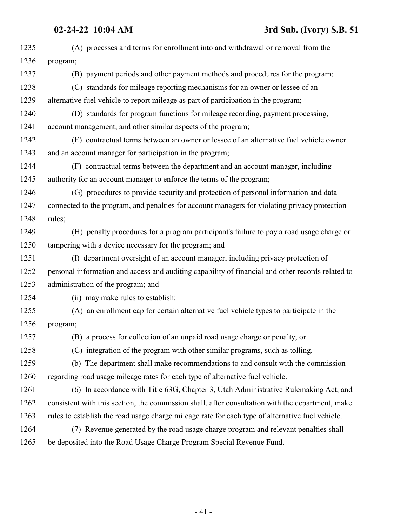| 1235 | (A) processes and terms for enrollment into and withdrawal or removal from the                    |
|------|---------------------------------------------------------------------------------------------------|
| 1236 | program;                                                                                          |
| 1237 | (B) payment periods and other payment methods and procedures for the program;                     |
| 1238 | (C) standards for mileage reporting mechanisms for an owner or lessee of an                       |
| 1239 | alternative fuel vehicle to report mileage as part of participation in the program;               |
| 1240 | (D) standards for program functions for mileage recording, payment processing,                    |
| 1241 | account management, and other similar aspects of the program;                                     |
| 1242 | (E) contractual terms between an owner or lessee of an alternative fuel vehicle owner             |
| 1243 | and an account manager for participation in the program;                                          |
| 1244 | (F) contractual terms between the department and an account manager, including                    |
| 1245 | authority for an account manager to enforce the terms of the program;                             |
| 1246 | (G) procedures to provide security and protection of personal information and data                |
| 1247 | connected to the program, and penalties for account managers for violating privacy protection     |
| 1248 | rules;                                                                                            |
| 1249 | (H) penalty procedures for a program participant's failure to pay a road usage charge or          |
| 1250 | tampering with a device necessary for the program; and                                            |
| 1251 | (I) department oversight of an account manager, including privacy protection of                   |
| 1252 | personal information and access and auditing capability of financial and other records related to |
| 1253 | administration of the program; and                                                                |
| 1254 | (ii) may make rules to establish:                                                                 |
| 1255 | (A) an enrollment cap for certain alternative fuel vehicle types to participate in the            |
| 1256 | program;                                                                                          |
| 1257 | (B) a process for collection of an unpaid road usage charge or penalty; or                        |
| 1258 | (C) integration of the program with other similar programs, such as tolling.                      |
| 1259 | (b) The department shall make recommendations to and consult with the commission                  |
| 1260 | regarding road usage mileage rates for each type of alternative fuel vehicle.                     |
| 1261 | (6) In accordance with Title 63G, Chapter 3, Utah Administrative Rulemaking Act, and              |
| 1262 | consistent with this section, the commission shall, after consultation with the department, make  |
| 1263 | rules to establish the road usage charge mileage rate for each type of alternative fuel vehicle.  |
| 1264 | (7) Revenue generated by the road usage charge program and relevant penalties shall               |
| 1265 | be deposited into the Road Usage Charge Program Special Revenue Fund.                             |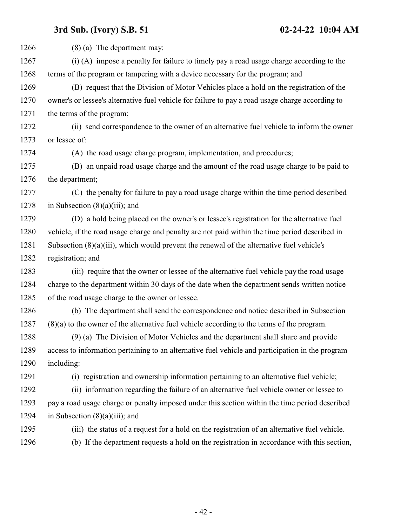| 1266 | $(8)$ (a) The department may:                                                                    |
|------|--------------------------------------------------------------------------------------------------|
| 1267 | (i) (A) impose a penalty for failure to timely pay a road usage charge according to the          |
| 1268 | terms of the program or tampering with a device necessary for the program; and                   |
| 1269 | (B) request that the Division of Motor Vehicles place a hold on the registration of the          |
| 1270 | owner's or lessee's alternative fuel vehicle for failure to pay a road usage charge according to |
| 1271 | the terms of the program;                                                                        |
| 1272 | (ii) send correspondence to the owner of an alternative fuel vehicle to inform the owner         |
| 1273 | or lessee of:                                                                                    |
| 1274 | (A) the road usage charge program, implementation, and procedures;                               |
| 1275 | (B) an unpaid road usage charge and the amount of the road usage charge to be paid to            |
| 1276 | the department;                                                                                  |
| 1277 | (C) the penalty for failure to pay a road usage charge within the time period described          |
| 1278 | in Subsection $(8)(a)(iii)$ ; and                                                                |
| 1279 | (D) a hold being placed on the owner's or lessee's registration for the alternative fuel         |
| 1280 | vehicle, if the road usage charge and penalty are not paid within the time period described in   |
| 1281 | Subsection $(8)(a)(iii)$ , which would prevent the renewal of the alternative fuel vehicle's     |
| 1282 | registration; and                                                                                |
| 1283 | (iii) require that the owner or lessee of the alternative fuel vehicle pay the road usage        |
| 1284 | charge to the department within 30 days of the date when the department sends written notice     |
| 1285 | of the road usage charge to the owner or lessee.                                                 |
| 1286 | (b) The department shall send the correspondence and notice described in Subsection              |
| 1287 | $(8)(a)$ to the owner of the alternative fuel vehicle according to the terms of the program.     |
| 1288 | (9) (a) The Division of Motor Vehicles and the department shall share and provide                |
| 1289 | access to information pertaining to an alternative fuel vehicle and participation in the program |
| 1290 | including:                                                                                       |
| 1291 | (i) registration and ownership information pertaining to an alternative fuel vehicle;            |
| 1292 | (ii) information regarding the failure of an alternative fuel vehicle owner or lessee to         |
| 1293 | pay a road usage charge or penalty imposed under this section within the time period described   |
| 1294 | in Subsection $(8)(a)(iii)$ ; and                                                                |
| 1295 | (iii) the status of a request for a hold on the registration of an alternative fuel vehicle.     |
| 1296 | (b) If the department requests a hold on the registration in accordance with this section,       |
|      |                                                                                                  |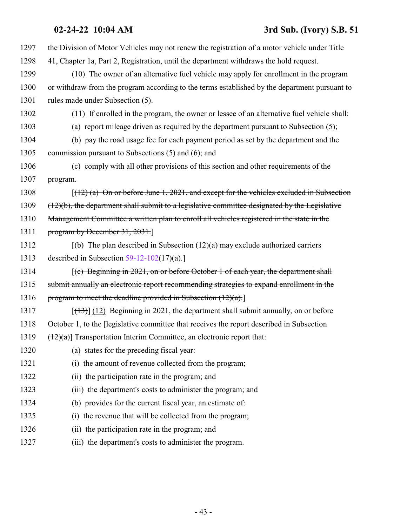## **02-24-22 10:04 AM 3rd Sub. (Ivory) S.B. 51**

| 1297 | the Division of Motor Vehicles may not renew the registration of a motor vehicle under Title     |
|------|--------------------------------------------------------------------------------------------------|
| 1298 | 41, Chapter 1a, Part 2, Registration, until the department withdraws the hold request.           |
| 1299 | (10) The owner of an alternative fuel vehicle may apply for enrollment in the program            |
| 1300 | or withdraw from the program according to the terms established by the department pursuant to    |
| 1301 | rules made under Subsection (5).                                                                 |
| 1302 | (11) If enrolled in the program, the owner or lessee of an alternative fuel vehicle shall:       |
| 1303 | (a) report mileage driven as required by the department pursuant to Subsection (5);              |
| 1304 | (b) pay the road usage fee for each payment period as set by the department and the              |
| 1305 | commission pursuant to Subsections (5) and (6); and                                              |
| 1306 | (c) comply with all other provisions of this section and other requirements of the               |
| 1307 | program.                                                                                         |
| 1308 | $(12)$ (a) On or before June 1, 2021, and except for the vehicles excluded in Subsection         |
| 1309 | $(12)(b)$ , the department shall submit to a legislative committee designated by the Legislative |
| 1310 | Management Committee a written plan to enroll all vehicles registered in the state in the        |
| 1311 | program by December $31, 2031$ .                                                                 |
| 1312 | $(6)$ The plan described in Subsection (12)(a) may exclude authorized carriers                   |
| 1313 | described in Subsection $59-12-102(17)(a)$ .                                                     |
| 1314 | $(c)$ Beginning in 2021, on or before October 1 of each year, the department shall               |
| 1315 | submit annually an electronic report recommending strategies to expand enrollment in the         |
| 1316 | program to meet the deadline provided in Subsection $(12)(a)$ .                                  |
| 1317 | $[ (13) ]$ (12) Beginning in 2021, the department shall submit annually, on or before            |
| 1318 | October 1, to the [legislative committee that receives the report described in Subsection        |
| 1319 | $(12)(a)$ ] Transportation Interim Committee, an electronic report that:                         |
| 1320 | (a) states for the preceding fiscal year:                                                        |
| 1321 | (i) the amount of revenue collected from the program;                                            |
| 1322 | (ii) the participation rate in the program; and                                                  |
| 1323 | (iii) the department's costs to administer the program; and                                      |
| 1324 | (b) provides for the current fiscal year, an estimate of:                                        |
| 1325 | (i) the revenue that will be collected from the program;                                         |
| 1326 | (ii) the participation rate in the program; and                                                  |
| 1327 | (iii) the department's costs to administer the program.                                          |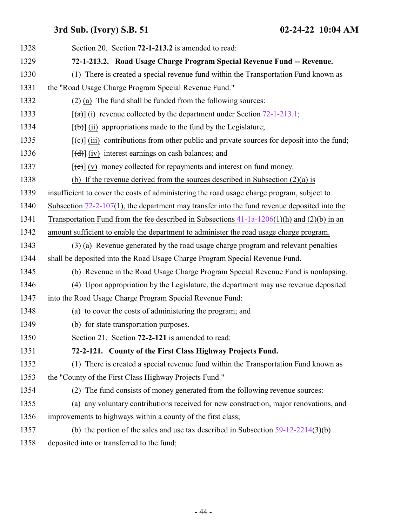<span id="page-43-1"></span><span id="page-43-0"></span>

| 1328 | Section 20. Section 72-1-213.2 is amended to read:                                                                                                                                                                                                                                                                                                                                                                                                                                         |
|------|--------------------------------------------------------------------------------------------------------------------------------------------------------------------------------------------------------------------------------------------------------------------------------------------------------------------------------------------------------------------------------------------------------------------------------------------------------------------------------------------|
| 1329 | 72-1-213.2. Road Usage Charge Program Special Revenue Fund -- Revenue.                                                                                                                                                                                                                                                                                                                                                                                                                     |
| 1330 | (1) There is created a special revenue fund within the Transportation Fund known as                                                                                                                                                                                                                                                                                                                                                                                                        |
| 1331 | the "Road Usage Charge Program Special Revenue Fund."                                                                                                                                                                                                                                                                                                                                                                                                                                      |
| 1332 | $(2)$ (a) The fund shall be funded from the following sources:                                                                                                                                                                                                                                                                                                                                                                                                                             |
| 1333 | $\lceil$ (a) (i) revenue collected by the department under Section 72-1-213.1;                                                                                                                                                                                                                                                                                                                                                                                                             |
| 1334 | $[\phi]$ (ii) appropriations made to the fund by the Legislature;                                                                                                                                                                                                                                                                                                                                                                                                                          |
| 1335 | $[\text{e}^{-}]$ (iii) contributions from other public and private sources for deposit into the fund;                                                                                                                                                                                                                                                                                                                                                                                      |
| 1336 | $[\text{d} \cdot \text{d} \cdot \text{d} \cdot \text{d} \cdot \text{d} \cdot \text{d} \cdot \text{d} \cdot \text{d} \cdot \text{d} \cdot \text{d} \cdot \text{d} \cdot \text{d} \cdot \text{d} \cdot \text{d} \cdot \text{d} \cdot \text{d} \cdot \text{d} \cdot \text{d} \cdot \text{d} \cdot \text{d} \cdot \text{d} \cdot \text{d} \cdot \text{d} \cdot \text{d} \cdot \text{d} \cdot \text{d} \cdot \text{d} \cdot \text{d} \cdot \text{d} \cdot \text{d} \cdot \text{d} \cdot \text{$ |
| 1337 | $[\text{e}(\text{e})]$ (v) money collected for repayments and interest on fund money.                                                                                                                                                                                                                                                                                                                                                                                                      |
| 1338 | (b) If the revenue derived from the sources described in Subsection $(2)(a)$ is                                                                                                                                                                                                                                                                                                                                                                                                            |
| 1339 | insufficient to cover the costs of administering the road usage charge program, subject to                                                                                                                                                                                                                                                                                                                                                                                                 |
| 1340 | Subsection $72-2-107(1)$ , the department may transfer into the fund revenue deposited into the                                                                                                                                                                                                                                                                                                                                                                                            |
| 1341 | Transportation Fund from the fee described in Subsections $41-1a-1206(1)(h)$ and $(2)(b)$ in an                                                                                                                                                                                                                                                                                                                                                                                            |
| 1342 | amount sufficient to enable the department to administer the road usage charge program.                                                                                                                                                                                                                                                                                                                                                                                                    |
| 1343 | (3) (a) Revenue generated by the road usage charge program and relevant penalties                                                                                                                                                                                                                                                                                                                                                                                                          |
| 1344 | shall be deposited into the Road Usage Charge Program Special Revenue Fund.                                                                                                                                                                                                                                                                                                                                                                                                                |
| 1345 | (b) Revenue in the Road Usage Charge Program Special Revenue Fund is nonlapsing.                                                                                                                                                                                                                                                                                                                                                                                                           |
| 1346 | (4) Upon appropriation by the Legislature, the department may use revenue deposited                                                                                                                                                                                                                                                                                                                                                                                                        |
| 1347 | into the Road Usage Charge Program Special Revenue Fund:                                                                                                                                                                                                                                                                                                                                                                                                                                   |
| 1348 | (a) to cover the costs of administering the program; and                                                                                                                                                                                                                                                                                                                                                                                                                                   |
| 1349 | (b) for state transportation purposes.                                                                                                                                                                                                                                                                                                                                                                                                                                                     |
| 1350 | Section 21. Section 72-2-121 is amended to read:                                                                                                                                                                                                                                                                                                                                                                                                                                           |
| 1351 | 72-2-121. County of the First Class Highway Projects Fund.                                                                                                                                                                                                                                                                                                                                                                                                                                 |
| 1352 | (1) There is created a special revenue fund within the Transportation Fund known as                                                                                                                                                                                                                                                                                                                                                                                                        |
| 1353 | the "County of the First Class Highway Projects Fund."                                                                                                                                                                                                                                                                                                                                                                                                                                     |
| 1354 | (2) The fund consists of money generated from the following revenue sources:                                                                                                                                                                                                                                                                                                                                                                                                               |
| 1355 | (a) any voluntary contributions received for new construction, major renovations, and                                                                                                                                                                                                                                                                                                                                                                                                      |
| 1356 | improvements to highways within a county of the first class;                                                                                                                                                                                                                                                                                                                                                                                                                               |
| 1357 | (b) the portion of the sales and use tax described in Subsection $59-12-2214(3)(b)$                                                                                                                                                                                                                                                                                                                                                                                                        |
| 1358 | deposited into or transferred to the fund;                                                                                                                                                                                                                                                                                                                                                                                                                                                 |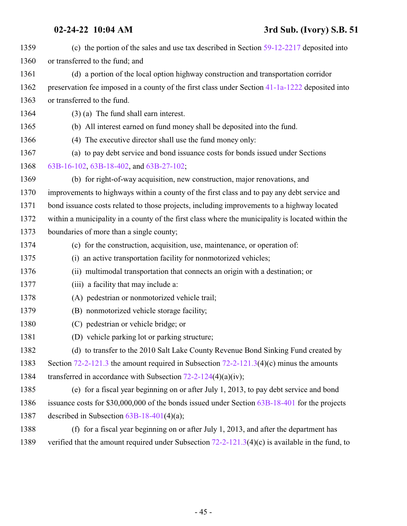| 1359 | (c) the portion of the sales and use tax described in Section $59-12-2217$ deposited into          |  |  |  |
|------|----------------------------------------------------------------------------------------------------|--|--|--|
| 1360 | or transferred to the fund; and                                                                    |  |  |  |
| 1361 | (d) a portion of the local option highway construction and transportation corridor                 |  |  |  |
| 1362 | preservation fee imposed in a county of the first class under Section 41-1a-1222 deposited into    |  |  |  |
| 1363 | or transferred to the fund.                                                                        |  |  |  |
| 1364 | $(3)$ (a) The fund shall earn interest.                                                            |  |  |  |
| 1365 | (b) All interest earned on fund money shall be deposited into the fund.                            |  |  |  |
| 1366 | (4) The executive director shall use the fund money only:                                          |  |  |  |
| 1367 | (a) to pay debt service and bond issuance costs for bonds issued under Sections                    |  |  |  |
| 1368 | 63B-16-102, 63B-18-402, and 63B-27-102;                                                            |  |  |  |
| 1369 | (b) for right-of-way acquisition, new construction, major renovations, and                         |  |  |  |
| 1370 | improvements to highways within a county of the first class and to pay any debt service and        |  |  |  |
| 1371 | bond issuance costs related to those projects, including improvements to a highway located         |  |  |  |
| 1372 | within a municipality in a county of the first class where the municipality is located within the  |  |  |  |
| 1373 | boundaries of more than a single county;                                                           |  |  |  |
| 1374 | (c) for the construction, acquisition, use, maintenance, or operation of:                          |  |  |  |
| 1375 | (i) an active transportation facility for nonmotorized vehicles;                                   |  |  |  |
| 1376 | (ii) multimodal transportation that connects an origin with a destination; or                      |  |  |  |
| 1377 | (iii) a facility that may include a:                                                               |  |  |  |
| 1378 | (A) pedestrian or nonmotorized vehicle trail;                                                      |  |  |  |
| 1379 | (B) nonmotorized vehicle storage facility;                                                         |  |  |  |
| 1380 | (C) pedestrian or vehicle bridge; or                                                               |  |  |  |
| 1381 | (D) vehicle parking lot or parking structure;                                                      |  |  |  |
| 1382 | (d) to transfer to the 2010 Salt Lake County Revenue Bond Sinking Fund created by                  |  |  |  |
| 1383 | Section 72-2-121.3 the amount required in Subsection $72-2-121.3(4)(c)$ minus the amounts          |  |  |  |
| 1384 | transferred in accordance with Subsection $72-2-124(4)(a)(iv)$ ;                                   |  |  |  |
| 1385 | (e) for a fiscal year beginning on or after July 1, 2013, to pay debt service and bond             |  |  |  |
| 1386 | issuance costs for $$30,000,000$ of the bonds issued under Section $63B-18-401$ for the projects   |  |  |  |
| 1387 | described in Subsection $63B-18-401(4)(a)$ ;                                                       |  |  |  |
| 1388 | (f) for a fiscal year beginning on or after July 1, 2013, and after the department has             |  |  |  |
| 1389 | verified that the amount required under Subsection $72-2-121.3(4)(c)$ is available in the fund, to |  |  |  |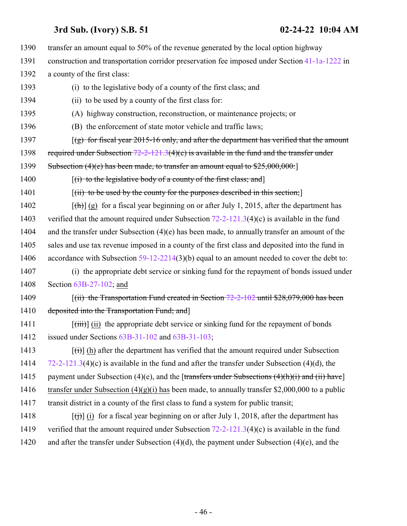transfer an amount equal to 50% of the revenue generated by the local option highway construction and transportation corridor preservation fee imposed under Section [41-1a-1222](http://le.utah.gov/UtahCode/SectionLookup.jsp?section=41-1a-1222&session=2022GS) in a county of the first class: (i) to the legislative body of a county of the first class; and (ii) to be used by a county of the first class for: (A) highway construction, reconstruction, or maintenance projects; or (B) the enforcement of state motor vehicle and traffic laws;  $[(g)$  for fiscal year 2015-16 only, and after the department has verified that the amount 1398 required under Subsection  $72-2-121.3(4)(c)$  is available in the fund and the transfer under 1399 Subsection (4)(e) has been made, to transfer an amount equal to \$25,000,000.  $[(i)$  to the legislative body of a county of the first class; and 1401 [(ii) to be used by the county for the purposes described in this section;  $[(\text{th})]$  (g) for a fiscal year beginning on or after July 1, 2015, after the department has 1403 verified that the amount required under Subsection [72-2-121.3](http://le.utah.gov/UtahCode/SectionLookup.jsp?section=72-2-121.3&session=2022GS)(4)(c) is available in the fund and the transfer under Subsection (4)(e) has been made, to annually transfer an amount of the sales and use tax revenue imposed in a county of the first class and deposited into the fund in 1406 accordance with Subsection [59-12-2214](http://le.utah.gov/UtahCode/SectionLookup.jsp?section=59-12-2214&session=2022GS)(3)(b) equal to an amount needed to cover the debt to: (i) the appropriate debt service or sinking fund for the repayment of bonds issued under Section [63B-27-102](http://le.utah.gov/UtahCode/SectionLookup.jsp?section=63b-27-102&session=2022GS); and 1409 [(ii) the Transportation Fund created in Section [72-2-102](http://le.utah.gov/UtahCode/SectionLookup.jsp?section=72-2-102&session=2022GS) until \$28,079,000 has been 1410 deposited into the Transportation Fund; and  $[\overrightarrow{(iii)}]$  (ii) the appropriate debt service or sinking fund for the repayment of bonds issued under Sections [63B-31-102](http://le.utah.gov/UtahCode/SectionLookup.jsp?section=63b-31-102&session=2022GS) and [63B-31-103](#page-38-0);  $[(\dagger)]$  (h) after the department has verified that the amount required under Subsection [72-2-121.3](http://le.utah.gov/UtahCode/SectionLookup.jsp?section=72-2-121.3&session=2022GS)(4)(c) is available in the fund and after the transfer under Subsection (4)(d), the 1415 payment under Subsection (4)(e), and the [transfers under Subsections  $(4)(h)(i)$  and  $(ii)$  have] 1416 transfer under Subsection  $(4)(g)(i)$  has been made, to annually transfer \$2,000,000 to a public transit district in a county of the first class to fund a system for public transit;  $[(\dagger)\dagger](i)$  for a fiscal year beginning on or after July 1, 2018, after the department has 1419 verified that the amount required under Subsection [72-2-121.3](http://le.utah.gov/UtahCode/SectionLookup.jsp?section=72-2-121.3&session=2022GS)(4)(c) is available in the fund and after the transfer under Subsection (4)(d), the payment under Subsection (4)(e), and the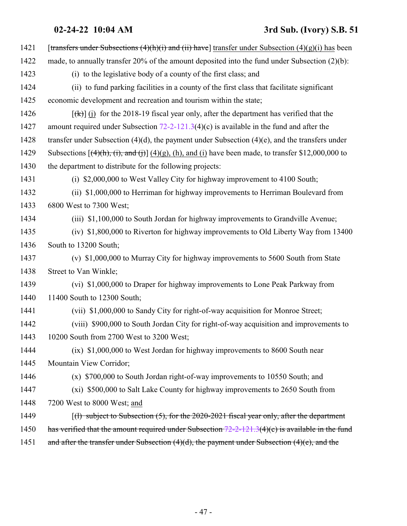## **02-24-22 10:04 AM 3rd Sub. (Ivory) S.B. 51**

| 1421 | [transfers under Subsections $(4)(h)(i)$ and $(ii)$ have] transfer under Subsection $(4)(g)(i)$ has been   |  |  |  |
|------|------------------------------------------------------------------------------------------------------------|--|--|--|
| 1422 | made, to annually transfer $20\%$ of the amount deposited into the fund under Subsection $(2)(b)$ :        |  |  |  |
| 1423 | (i) to the legislative body of a county of the first class; and                                            |  |  |  |
| 1424 | (ii) to fund parking facilities in a county of the first class that facilitate significant                 |  |  |  |
| 1425 | economic development and recreation and tourism within the state;                                          |  |  |  |
| 1426 | $[\frac{f(k)}{k}]$ (i) for the 2018-19 fiscal year only, after the department has verified that the        |  |  |  |
| 1427 | amount required under Subsection $72-2-121.3(4)(c)$ is available in the fund and after the                 |  |  |  |
| 1428 | transfer under Subsection $(4)(d)$ , the payment under Subsection $(4)(e)$ , and the transfers under       |  |  |  |
| 1429 | Subsections $[(4)(h), (i),$ and $(i)]$ $(4)(g)$ , (h), and (i) have been made, to transfer \$12,000,000 to |  |  |  |
| 1430 | the department to distribute for the following projects:                                                   |  |  |  |
| 1431 | (i) \$2,000,000 to West Valley City for highway improvement to 4100 South;                                 |  |  |  |
| 1432 | (ii) \$1,000,000 to Herriman for highway improvements to Herriman Boulevard from                           |  |  |  |
| 1433 | 6800 West to 7300 West;                                                                                    |  |  |  |
| 1434 | (iii) \$1,100,000 to South Jordan for highway improvements to Grandville Avenue;                           |  |  |  |
| 1435 | (iv) \$1,800,000 to Riverton for highway improvements to Old Liberty Way from 13400                        |  |  |  |
| 1436 | South to 13200 South;                                                                                      |  |  |  |
| 1437 | (v) \$1,000,000 to Murray City for highway improvements to 5600 South from State                           |  |  |  |
| 1438 | Street to Van Winkle;                                                                                      |  |  |  |
| 1439 | (vi) \$1,000,000 to Draper for highway improvements to Lone Peak Parkway from                              |  |  |  |
| 1440 | 11400 South to 12300 South;                                                                                |  |  |  |
| 1441 | (vii) \$1,000,000 to Sandy City for right-of-way acquisition for Monroe Street;                            |  |  |  |
| 1442 | (viii) \$900,000 to South Jordan City for right-of-way acquisition and improvements to                     |  |  |  |
| 1443 | 10200 South from 2700 West to 3200 West;                                                                   |  |  |  |
| 1444 | (ix) \$1,000,000 to West Jordan for highway improvements to 8600 South near                                |  |  |  |
| 1445 | Mountain View Corridor;                                                                                    |  |  |  |
| 1446 | $(x)$ \$700,000 to South Jordan right-of-way improvements to 10550 South; and                              |  |  |  |
| 1447 | (xi) \$500,000 to Salt Lake County for highway improvements to 2650 South from                             |  |  |  |
| 1448 | 7200 West to 8000 West; and                                                                                |  |  |  |
| 1449 | $\lceil$ (1) subject to Subsection (5), for the 2020-2021 fiscal year only, after the department           |  |  |  |
| 1450 | has verified that the amount required under Subsection $72-2-121.3(4)(c)$ is available in the fund         |  |  |  |
| 1451 | and after the transfer under Subsection $(4)(d)$ , the payment under Subsection $(4)(e)$ , and the         |  |  |  |
|      |                                                                                                            |  |  |  |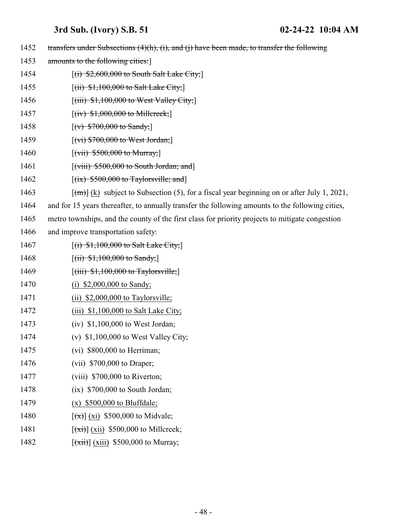1452 transfers under Subsections (4)(h), (i), and (j) have been made, to transfer the following 1453 amounts to the following cities: **[(i) \$2,600,000 to South Salt Lake City;**] 1455 [(ii) \$1,100,000 to Salt Lake City; **[(iii)** \$1,100,000 to West Valley City; 1457 [(iv) \$1,000,000 to Millereek;] 1458 [(v)  $$700,000$  to Sandy;] **[(vi) \$700,000 to West Jordan;**]  $[(\text{vii}) \, \$500,000 \text{ to Murray}]\$ **[(viii) \$500,000 to South Jordan; and**]  $[(ix)$  \$500,000 to Taylorsville; and  $\lceil (m) \rceil$  (k) subject to Subsection (5), for a fiscal year beginning on or after July 1, 2021, and for 15 years thereafter, to annually transfer the following amounts to the following cities, metro townships, and the county of the first class for priority projects to mitigate congestion and improve transportation safety: **[(i) \$1,100,000 to Salt Lake City;**] 1468 [(ii)  $$1,100,000$  to Sandy;  $[(iii) $1,100,000$  to Taylorsville; 1470 (i) \$2,000,000 to Sandy; 1471 (ii) \$2,000,000 to Taylorsville; 1472 (iii) \$1,100,000 to Salt Lake City; (iv) \$1,100,000 to West Jordan; (v) \$1,100,000 to West Valley City; (vi) \$800,000 to Herriman; (vii) \$700,000 to Draper; (viii) \$700,000 to Riverton; (ix) \$700,000 to South Jordan; (x) \$500,000 to Bluffdale;  $[(x)] (xi)$  \$500,000 to Midvale;  $\left[\frac{(\pi i)}{(\pi i)}\right]$  (xii) \$500,000 to Millcreek;  $[(\overrightarrow{xii})]$  (xiii) \$500,000 to Murray;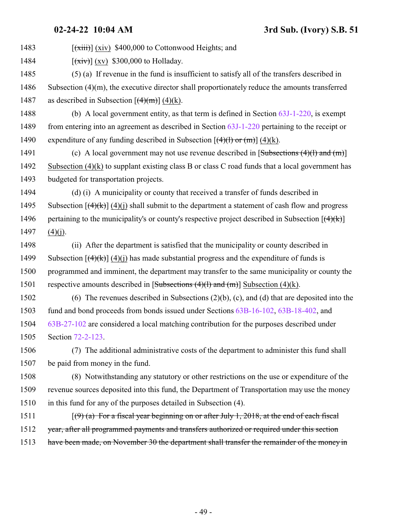1483  $\left[\frac{\overline{x}+i\overline{x}}{\overline{x}+i\overline{x}}\right]$  (xiv) \$400,000 to Cottonwood Heights; and

1484  $[(\overrightarrow{xiv})](xy)$  \$300,000 to Holladay.

 (5) (a) If revenue in the fund is insufficient to satisfy all of the transfers described in Subsection (4)(m), the executive director shall proportionately reduce the amounts transferred 1487 as described in Subsection  $\left[\frac{4}{m}\right] (4)(k)$ .

 (b) A local government entity, as that term is defined in Section [63J-1-220](http://le.utah.gov/UtahCode/SectionLookup.jsp?section=63j-1-220&session=2022GS), is exempt from entering into an agreement as described in Section [63J-1-220](http://le.utah.gov/UtahCode/SectionLookup.jsp?section=63j-1-220&session=2022GS) pertaining to the receipt or 1490 expenditure of any funding described in Subsection  $[(4)(1)$  or  $(m)] (4)(k)$ .

1491 (c) A local government may not use revenue described in [Subsections (4)(1) and (m)] Subsection (4)(k) to supplant existing class B or class C road funds that a local government has budgeted for transportation projects.

 (d) (i) A municipality or county that received a transfer of funds described in 1495 Subsection  $[(4)(k)]$  (4)(i) shall submit to the department a statement of cash flow and progress 1496 pertaining to the municipality's or county's respective project described in Subsection  $[(4)(k)]$ (4)(j).

 (ii) After the department is satisfied that the municipality or county described in 1499 Subsection  $\left[\frac{4}{k}\right]$  (4)(i) has made substantial progress and the expenditure of funds is programmed and imminent, the department may transfer to the same municipality or county the 1501 respective amounts described in  $[Subsections (4)(1) and (m)]$  Subsection (4)(k).

 (6) The revenues described in Subsections (2)(b), (c), and (d) that are deposited into the fund and bond proceeds from bonds issued under Sections [63B-16-102](http://le.utah.gov/UtahCode/SectionLookup.jsp?section=63b-16-102&session=2022GS), [63B-18-402](http://le.utah.gov/UtahCode/SectionLookup.jsp?section=63b-18-402&session=2022GS), and [63B-27-102](http://le.utah.gov/UtahCode/SectionLookup.jsp?section=63b-27-102&session=2022GS) are considered a local matching contribution for the purposes described under Section [72-2-123](http://le.utah.gov/UtahCode/SectionLookup.jsp?section=72-2-123&session=2022GS).

 (7) The additional administrative costs of the department to administer this fund shall be paid from money in the fund.

 (8) Notwithstanding any statutory or other restrictions on the use or expenditure of the revenue sources deposited into this fund, the Department of Transportation may use the money in this fund for any of the purposes detailed in Subsection (4).

1511  $[(9)$  (a) For a fiscal year beginning on or after July 1, 2018, at the end of each fiscal year, after all programmed payments and transfers authorized or required under this section 1513 have been made, on November 30 the department shall transfer the remainder of the money in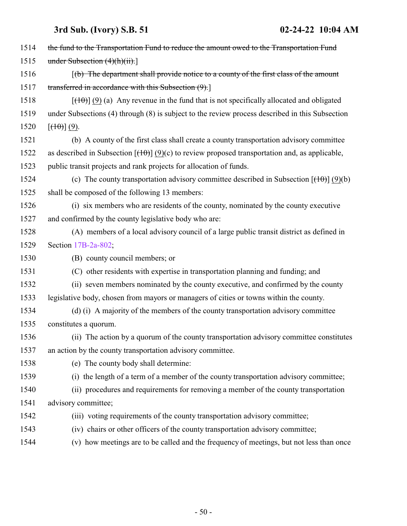| 1514 | the fund to the Transportation Fund to reduce the amount owed to the Transportation Fund              |  |  |  |
|------|-------------------------------------------------------------------------------------------------------|--|--|--|
| 1515 | under Subsection $(4)(h)(ii)$ .                                                                       |  |  |  |
| 1516 | $(f(b)$ The department shall provide notice to a county of the first class of the amount              |  |  |  |
| 1517 | transferred in accordance with this Subsection (9).]                                                  |  |  |  |
| 1518 | $[\frac{(10)}{(9)}]$ (9) (a) Any revenue in the fund that is not specifically allocated and obligated |  |  |  |
| 1519 | under Subsections (4) through (8) is subject to the review process described in this Subsection       |  |  |  |
| 1520 | $[\left(\frac{10}{10}\right)](9)$ .                                                                   |  |  |  |
| 1521 | (b) A county of the first class shall create a county transportation advisory committee               |  |  |  |
| 1522 | as described in Subsection $[(10)(9)(c)$ to review proposed transportation and, as applicable,        |  |  |  |
| 1523 | public transit projects and rank projects for allocation of funds.                                    |  |  |  |
| 1524 | (c) The county transportation advisory committee described in Subsection $[(10)(b)]$                  |  |  |  |
| 1525 | shall be composed of the following 13 members:                                                        |  |  |  |
| 1526 | (i) six members who are residents of the county, nominated by the county executive                    |  |  |  |
| 1527 | and confirmed by the county legislative body who are:                                                 |  |  |  |
| 1528 | (A) members of a local advisory council of a large public transit district as defined in              |  |  |  |
| 1529 | Section 17B-2a-802;                                                                                   |  |  |  |
| 1530 | (B) county council members; or                                                                        |  |  |  |
| 1531 | (C) other residents with expertise in transportation planning and funding; and                        |  |  |  |
| 1532 | (ii) seven members nominated by the county executive, and confirmed by the county                     |  |  |  |
| 1533 | legislative body, chosen from mayors or managers of cities or towns within the county.                |  |  |  |
| 1534 | (d) (i) A majority of the members of the county transportation advisory committee                     |  |  |  |
| 1535 | constitutes a quorum.                                                                                 |  |  |  |
| 1536 | (ii) The action by a quorum of the county transportation advisory committee constitutes               |  |  |  |
| 1537 | an action by the county transportation advisory committee.                                            |  |  |  |
| 1538 | (e) The county body shall determine:                                                                  |  |  |  |
| 1539 | (i) the length of a term of a member of the county transportation advisory committee;                 |  |  |  |
| 1540 | (ii) procedures and requirements for removing a member of the county transportation                   |  |  |  |
| 1541 | advisory committee;                                                                                   |  |  |  |
| 1542 | (iii) voting requirements of the county transportation advisory committee;                            |  |  |  |
| 1543 | (iv) chairs or other officers of the county transportation advisory committee;                        |  |  |  |
| 1544 | (v) how meetings are to be called and the frequency of meetings, but not less than once               |  |  |  |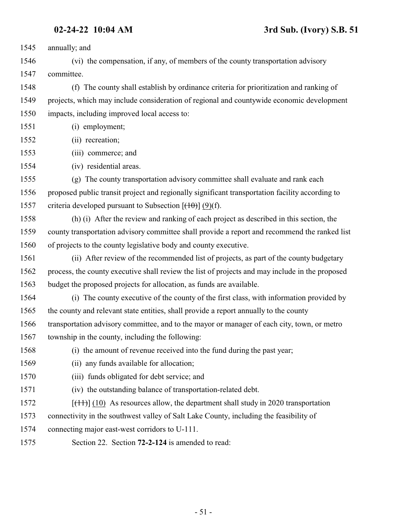annually; and

 (vi) the compensation, if any, of members of the county transportation advisory committee.

 (f) The county shall establish by ordinance criteria for prioritization and ranking of projects, which may include consideration of regional and countywide economic development impacts, including improved local access to:

(i) employment;

- (ii) recreation;
- (iii) commerce; and
- (iv) residential areas.

 (g) The county transportation advisory committee shall evaluate and rank each proposed public transit project and regionally significant transportation facility according to 1557 criteria developed pursuant to Subsection  $[(10)(f)]$ .

 (h) (i) After the review and ranking of each project as described in this section, the county transportation advisory committee shall provide a report and recommend the ranked list of projects to the county legislative body and county executive.

 (ii) After review of the recommended list of projects, as part of the county budgetary process, the county executive shall review the list of projects and may include in the proposed budget the proposed projects for allocation, as funds are available.

 (i) The county executive of the county of the first class, with information provided by the county and relevant state entities, shall provide a report annually to the county

 transportation advisory committee, and to the mayor or manager of each city, town, or metro township in the county, including the following:

- (i) the amount of revenue received into the fund during the past year;
- (ii) any funds available for allocation;
- (iii) funds obligated for debt service; and
- (iv) the outstanding balance of transportation-related debt.
- $[({11})]$  (10) As resources allow, the department shall study in 2020 transportation
- connectivity in the southwest valley of Salt Lake County, including the feasibility of
- connecting major east-west corridors to U-111.
- <span id="page-50-0"></span>Section 22. Section **72-2-124** is amended to read: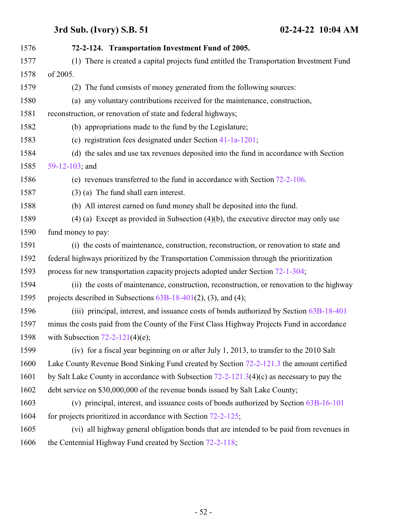| 1576 | 72-2-124. Transportation Investment Fund of 2005.                                            |
|------|----------------------------------------------------------------------------------------------|
| 1577 | (1) There is created a capital projects fund entitled the Transportation Investment Fund     |
| 1578 | of 2005.                                                                                     |
| 1579 | (2) The fund consists of money generated from the following sources:                         |
| 1580 | (a) any voluntary contributions received for the maintenance, construction,                  |
| 1581 | reconstruction, or renovation of state and federal highways;                                 |
| 1582 | (b) appropriations made to the fund by the Legislature;                                      |
| 1583 | (c) registration fees designated under Section 41-1a-1201;                                   |
| 1584 | (d) the sales and use tax revenues deposited into the fund in accordance with Section        |
| 1585 | 59-12-103; and                                                                               |
| 1586 | (e) revenues transferred to the fund in accordance with Section $72-2-106$ .                 |
| 1587 | $(3)$ (a) The fund shall earn interest.                                                      |
| 1588 | (b) All interest earned on fund money shall be deposited into the fund.                      |
| 1589 | $(4)$ (a) Except as provided in Subsection $(4)(b)$ , the executive director may only use    |
| 1590 | fund money to pay:                                                                           |
| 1591 | (i) the costs of maintenance, construction, reconstruction, or renovation to state and       |
| 1592 | federal highways prioritized by the Transportation Commission through the prioritization     |
| 1593 | process for new transportation capacity projects adopted under Section 72-1-304;             |
| 1594 | (ii) the costs of maintenance, construction, reconstruction, or renovation to the highway    |
| 1595 | projects described in Subsections $63B-18-401(2)$ , (3), and (4);                            |
| 1596 | (iii) principal, interest, and issuance costs of bonds authorized by Section 63B-18-401      |
| 1597 | minus the costs paid from the County of the First Class Highway Projects Fund in accordance  |
| 1598 | with Subsection $72-2-121(4)(e)$ ;                                                           |
| 1599 | (iv) for a fiscal year beginning on or after July 1, 2013, to transfer to the 2010 Salt      |
| 1600 | Lake County Revenue Bond Sinking Fund created by Section 72-2-121.3 the amount certified     |
| 1601 | by Salt Lake County in accordance with Subsection $72-2-121.3(4)(c)$ as necessary to pay the |
| 1602 | debt service on \$30,000,000 of the revenue bonds issued by Salt Lake County;                |
| 1603 | (v) principal, interest, and issuance costs of bonds authorized by Section 63B-16-101        |
| 1604 | for projects prioritized in accordance with Section $72-2-125$ ;                             |
| 1605 | (vi) all highway general obligation bonds that are intended to be paid from revenues in      |
| 1606 | the Centennial Highway Fund created by Section 72-2-118;                                     |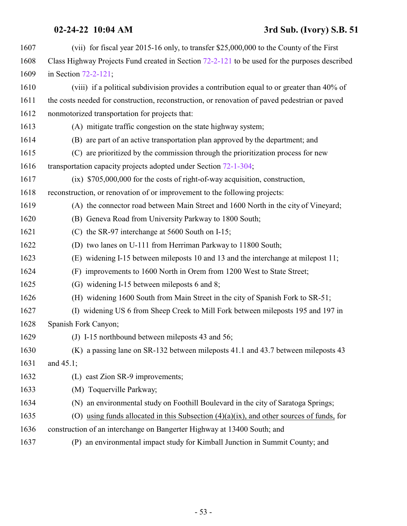### **02-24-22 10:04 AM 3rd Sub. (Ivory) S.B. 51**

| 1607 | (vii) for fiscal year 2015-16 only, to transfer \$25,000,000 to the County of the First       |  |  |  |
|------|-----------------------------------------------------------------------------------------------|--|--|--|
| 1608 | Class Highway Projects Fund created in Section 72-2-121 to be used for the purposes described |  |  |  |
| 1609 | in Section 72-2-121;                                                                          |  |  |  |
| 1610 | (viii) if a political subdivision provides a contribution equal to or greater than 40% of     |  |  |  |
| 1611 | the costs needed for construction, reconstruction, or renovation of paved pedestrian or paved |  |  |  |
| 1612 | nonmotorized transportation for projects that:                                                |  |  |  |
| 1613 | (A) mitigate traffic congestion on the state highway system;                                  |  |  |  |
| 1614 | (B) are part of an active transportation plan approved by the department; and                 |  |  |  |
| 1615 | (C) are prioritized by the commission through the prioritization process for new              |  |  |  |
| 1616 | transportation capacity projects adopted under Section 72-1-304;                              |  |  |  |
| 1617 | $(ix)$ \$705,000,000 for the costs of right-of-way acquisition, construction,                 |  |  |  |
| 1618 | reconstruction, or renovation of or improvement to the following projects:                    |  |  |  |
| 1619 | (A) the connector road between Main Street and 1600 North in the city of Vineyard;            |  |  |  |
| 1620 | (B) Geneva Road from University Parkway to 1800 South;                                        |  |  |  |
| 1621 | (C) the SR-97 interchange at 5600 South on I-15;                                              |  |  |  |
| 1622 | (D) two lanes on U-111 from Herriman Parkway to 11800 South;                                  |  |  |  |
| 1623 | (E) widening I-15 between mileposts 10 and 13 and the interchange at milepost 11;             |  |  |  |
| 1624 | (F) improvements to 1600 North in Orem from 1200 West to State Street;                        |  |  |  |
| 1625 | (G) widening I-15 between mileposts 6 and 8;                                                  |  |  |  |
| 1626 | (H) widening 1600 South from Main Street in the city of Spanish Fork to SR-51;                |  |  |  |
| 1627 | (I) widening US 6 from Sheep Creek to Mill Fork between mileposts 195 and 197 in              |  |  |  |
| 1628 | Spanish Fork Canyon;                                                                          |  |  |  |
| 1629 | (J) I-15 northbound between mileposts 43 and 56;                                              |  |  |  |
| 1630 | (K) a passing lane on SR-132 between mileposts 41.1 and 43.7 between mileposts 43             |  |  |  |
| 1631 | and $45.1$ ;                                                                                  |  |  |  |
| 1632 | (L) east Zion SR-9 improvements;                                                              |  |  |  |
| 1633 | (M) Toquerville Parkway;                                                                      |  |  |  |
| 1634 | (N) an environmental study on Foothill Boulevard in the city of Saratoga Springs;             |  |  |  |
| 1635 | (O) using funds allocated in this Subsection $(4)(a)(ix)$ , and other sources of funds, for   |  |  |  |
| 1636 | construction of an interchange on Bangerter Highway at 13400 South; and                       |  |  |  |
| 1637 | (P) an environmental impact study for Kimball Junction in Summit County; and                  |  |  |  |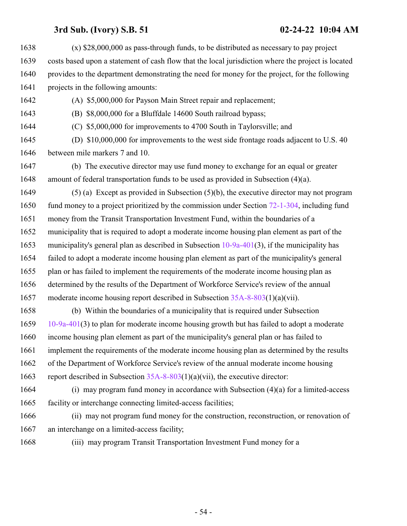(x) \$28,000,000 as pass-through funds, to be distributed as necessary to pay project costs based upon a statement of cash flow that the local jurisdiction where the project is located provides to the department demonstrating the need for money for the project, for the following projects in the following amounts: (A) \$5,000,000 for Payson Main Street repair and replacement; (B) \$8,000,000 for a Bluffdale 14600 South railroad bypass; (C) \$5,000,000 for improvements to 4700 South in Taylorsville; and (D) \$10,000,000 for improvements to the west side frontage roads adjacent to U.S. 40 between mile markers 7 and 10. (b) The executive director may use fund money to exchange for an equal or greater amount of federal transportation funds to be used as provided in Subsection (4)(a). (5) (a) Except as provided in Subsection (5)(b), the executive director may not program fund money to a project prioritized by the commission under Section [72-1-304](http://le.utah.gov/UtahCode/SectionLookup.jsp?section=72-1-304&session=2022GS), including fund money from the Transit Transportation Investment Fund, within the boundaries of a municipality that is required to adopt a moderate income housing plan element as part of the 1653 municipality's general plan as described in Subsection [10-9a-401](http://le.utah.gov/UtahCode/SectionLookup.jsp?section=10-9a-401&session=2022GS)(3), if the municipality has failed to adopt a moderate income housing plan element as part of the municipality's general plan or has failed to implement the requirements of the moderate income housing plan as determined by the results of the Department of Workforce Service's review of the annual moderate income housing report described in Subsection [35A-8-803](http://le.utah.gov/UtahCode/SectionLookup.jsp?section=35a-8-803&session=2022GS)(1)(a)(vii). (b) Within the boundaries of a municipality that is required under Subsection [10-9a-401](http://le.utah.gov/UtahCode/SectionLookup.jsp?section=10-9a-401&session=2022GS)(3) to plan for moderate income housing growth but has failed to adopt a moderate income housing plan element as part of the municipality's general plan or has failed to implement the requirements of the moderate income housing plan as determined by the results of the Department of Workforce Service's review of the annual moderate income housing report described in Subsection [35A-8-803](http://le.utah.gov/UtahCode/SectionLookup.jsp?section=35a-8-803&session=2022GS)(1)(a)(vii), the executive director: (i) may program fund money in accordance with Subsection (4)(a) for a limited-access facility or interchange connecting limited-access facilities; (ii) may not program fund money for the construction, reconstruction, or renovation of

- an interchange on a limited-access facility;
- 

(iii) may program Transit Transportation Investment Fund money for a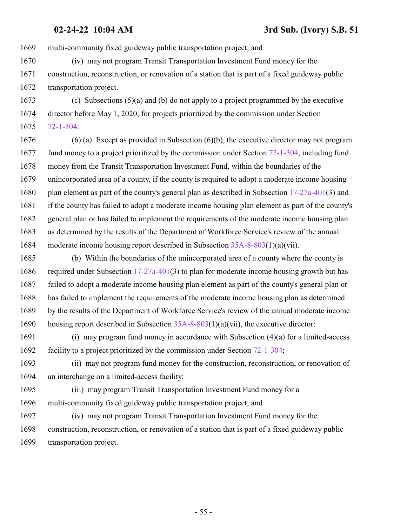multi-community fixed guideway public transportation project; and

 (iv) may not program Transit Transportation Investment Fund money for the construction, reconstruction, or renovation of a station that is part of a fixed guideway public transportation project.

 (c) Subsections (5)(a) and (b) do not apply to a project programmed by the executive director before May 1, 2020, for projects prioritized by the commission under Section [72-1-304](http://le.utah.gov/UtahCode/SectionLookup.jsp?section=72-1-304&session=2022GS).

 (6) (a) Except as provided in Subsection (6)(b), the executive director may not program fund money to a project prioritized by the commission under Section [72-1-304](http://le.utah.gov/UtahCode/SectionLookup.jsp?section=72-1-304&session=2022GS), including fund money from the Transit Transportation Investment Fund, within the boundaries of the unincorporated area of a county, if the county is required to adopt a moderate income housing plan element as part of the county's general plan as described in Subsection [17-27a-401](http://le.utah.gov/UtahCode/SectionLookup.jsp?section=17-27a-401&session=2022GS)(3) and if the county has failed to adopt a moderate income housing plan element as part of the county's general plan or has failed to implement the requirements of the moderate income housing plan as determined by the results of the Department of Workforce Service's review of the annual moderate income housing report described in Subsection [35A-8-803](http://le.utah.gov/UtahCode/SectionLookup.jsp?section=35a-8-803&session=2022GS)(1)(a)(vii).

 (b) Within the boundaries of the unincorporated area of a county where the county is required under Subsection [17-27a-401](http://le.utah.gov/UtahCode/SectionLookup.jsp?section=17-27a-401&session=2022GS)(3) to plan for moderate income housing growth but has failed to adopt a moderate income housing plan element as part of the county's general plan or has failed to implement the requirements of the moderate income housing plan as determined by the results of the Department of Workforce Service's review of the annual moderate income housing report described in Subsection [35A-8-803](http://le.utah.gov/UtahCode/SectionLookup.jsp?section=35a-8-803&session=2022GS)(1)(a)(vii), the executive director:

 (i) may program fund money in accordance with Subsection (4)(a) for a limited-access facility to a project prioritized by the commission under Section [72-1-304](http://le.utah.gov/UtahCode/SectionLookup.jsp?section=72-1-304&session=2022GS);

 (ii) may not program fund money for the construction, reconstruction, or renovation of an interchange on a limited-access facility;

 (iii) may program Transit Transportation Investment Fund money for a multi-community fixed guideway public transportation project; and

 (iv) may not program Transit Transportation Investment Fund money for the construction, reconstruction, or renovation of a station that is part of a fixed guideway public transportation project.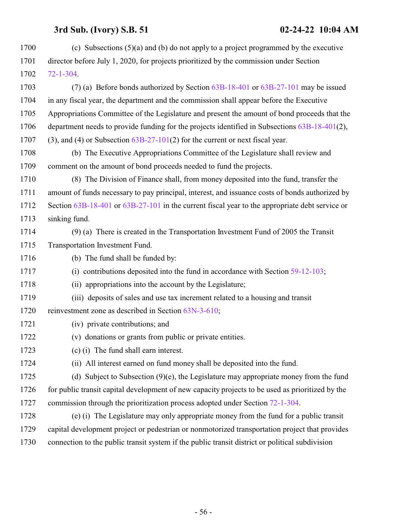| 1700 | (c) Subsections $(5)(a)$ and (b) do not apply to a project programmed by the executive           |
|------|--------------------------------------------------------------------------------------------------|
| 1701 | director before July 1, 2020, for projects prioritized by the commission under Section           |
| 1702 | $72 - 1 - 304$                                                                                   |
| 1703 | (7) (a) Before bonds authorized by Section 63B-18-401 or 63B-27-101 may be issued                |
| 1704 | in any fiscal year, the department and the commission shall appear before the Executive          |
| 1705 | Appropriations Committee of the Legislature and present the amount of bond proceeds that the     |
| 1706 | department needs to provide funding for the projects identified in Subsections 63B-18-401(2),    |
| 1707 | $(3)$ , and $(4)$ or Subsection $63B-27-101(2)$ for the current or next fiscal year.             |
| 1708 | (b) The Executive Appropriations Committee of the Legislature shall review and                   |
| 1709 | comment on the amount of bond proceeds needed to fund the projects.                              |
| 1710 | (8) The Division of Finance shall, from money deposited into the fund, transfer the              |
| 1711 | amount of funds necessary to pay principal, interest, and issuance costs of bonds authorized by  |
| 1712 | Section 63B-18-401 or 63B-27-101 in the current fiscal year to the appropriate debt service or   |
| 1713 | sinking fund.                                                                                    |
| 1714 | $(9)$ (a) There is created in the Transportation Investment Fund of 2005 the Transit             |
| 1715 | Transportation Investment Fund.                                                                  |
| 1716 | (b) The fund shall be funded by:                                                                 |
| 1717 | (i) contributions deposited into the fund in accordance with Section $59-12-103$ ;               |
| 1718 | (ii) appropriations into the account by the Legislature;                                         |
| 1719 | (iii) deposits of sales and use tax increment related to a housing and transit                   |
| 1720 | reinvestment zone as described in Section 63N-3-610;                                             |
| 1721 | (iv) private contributions; and                                                                  |
| 1722 | (v) donations or grants from public or private entities.                                         |
| 1723 | (c) (i) The fund shall earn interest.                                                            |
| 1724 | (ii) All interest earned on fund money shall be deposited into the fund.                         |
| 1725 | (d) Subject to Subsection $(9)(e)$ , the Legislature may appropriate money from the fund         |
| 1726 | for public transit capital development of new capacity projects to be used as prioritized by the |
| 1727 | commission through the prioritization process adopted under Section 72-1-304.                    |
| 1728 | (e) (i) The Legislature may only appropriate money from the fund for a public transit            |
| 1729 | capital development project or pedestrian or nonmotorized transportation project that provides   |
| 1730 | connection to the public transit system if the public transit district or political subdivision  |
|      |                                                                                                  |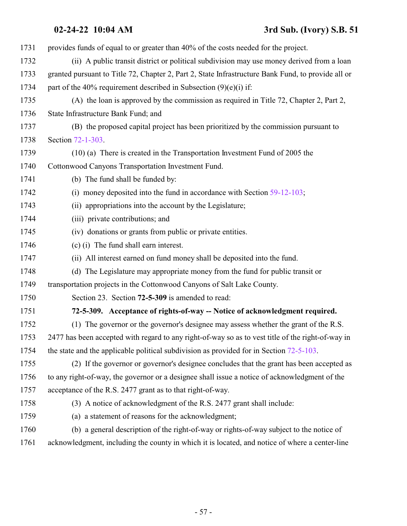### **02-24-22 10:04 AM 3rd Sub. (Ivory) S.B. 51**

<span id="page-56-0"></span> provides funds of equal to or greater than 40% of the costs needed for the project. (ii) A public transit district or political subdivision may use money derived from a loan granted pursuant to Title 72, Chapter 2, Part 2, State Infrastructure Bank Fund, to provide all or 1734 part of the 40% requirement described in Subsection  $(9)(e)(i)$  if: (A) the loan is approved by the commission as required in Title 72, Chapter 2, Part 2, State Infrastructure Bank Fund; and (B) the proposed capital project has been prioritized by the commission pursuant to Section [72-1-303](http://le.utah.gov/UtahCode/SectionLookup.jsp?section=72-1-303&session=2022GS). (10) (a) There is created in the Transportation Investment Fund of 2005 the Cottonwood Canyons Transportation Investment Fund. (b) The fund shall be funded by: (i) money deposited into the fund in accordance with Section [59-12-103](http://le.utah.gov/UtahCode/SectionLookup.jsp?section=59-12-103&session=2022GS); (ii) appropriations into the account by the Legislature; (iii) private contributions; and (iv) donations or grants from public or private entities. (c) (i) The fund shall earn interest. (ii) All interest earned on fund money shall be deposited into the fund. (d) The Legislature may appropriate money from the fund for public transit or transportation projects in the Cottonwood Canyons of Salt Lake County. Section 23. Section **72-5-309** is amended to read: **72-5-309. Acceptance of rights-of-way -- Notice of acknowledgment required.** (1) The governor or the governor's designee may assess whether the grant of the R.S. 2477 has been accepted with regard to any right-of-way so as to vest title of the right-of-way in 1754 the state and the applicable political subdivision as provided for in Section [72-5-103](http://le.utah.gov/UtahCode/SectionLookup.jsp?section=72-5-103&session=2022GS). (2) If the governor or governor's designee concludes that the grant has been accepted as to any right-of-way, the governor or a designee shall issue a notice of acknowledgment of the acceptance of the R.S. 2477 grant as to that right-of-way. (3) A notice of acknowledgment of the R.S. 2477 grant shall include: (a) a statement of reasons for the acknowledgment; (b) a general description of the right-of-way or rights-of-way subject to the notice of acknowledgment, including the county in which it is located, and notice of where a center-line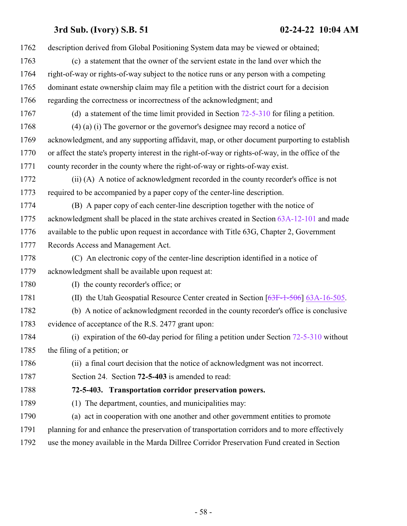<span id="page-57-0"></span>

| 1762 | description derived from Global Positioning System data may be viewed or obtained;                 |  |  |  |
|------|----------------------------------------------------------------------------------------------------|--|--|--|
| 1763 | (c) a statement that the owner of the servient estate in the land over which the                   |  |  |  |
| 1764 | right-of-way or rights-of-way subject to the notice runs or any person with a competing            |  |  |  |
| 1765 | dominant estate ownership claim may file a petition with the district court for a decision         |  |  |  |
| 1766 | regarding the correctness or incorrectness of the acknowledgment; and                              |  |  |  |
| 1767 | (d) a statement of the time limit provided in Section $72-5-310$ for filing a petition.            |  |  |  |
| 1768 | $(4)$ (a) (i) The governor or the governor's designee may record a notice of                       |  |  |  |
| 1769 | acknowledgment, and any supporting affidavit, map, or other document purporting to establish       |  |  |  |
| 1770 | or affect the state's property interest in the right-of-way or rights-of-way, in the office of the |  |  |  |
| 1771 | county recorder in the county where the right-of-way or rights-of-way exist.                       |  |  |  |
| 1772 | (ii) (A) A notice of acknowledgment recorded in the county recorder's office is not                |  |  |  |
| 1773 | required to be accompanied by a paper copy of the center-line description.                         |  |  |  |
| 1774 | (B) A paper copy of each center-line description together with the notice of                       |  |  |  |
| 1775 | acknowledgment shall be placed in the state archives created in Section 63A-12-101 and made        |  |  |  |
| 1776 | available to the public upon request in accordance with Title 63G, Chapter 2, Government           |  |  |  |
| 1777 | Records Access and Management Act.                                                                 |  |  |  |
|      | (C) An electronic copy of the center-line description identified in a notice of                    |  |  |  |
| 1778 |                                                                                                    |  |  |  |
| 1779 | acknowledgment shall be available upon request at:                                                 |  |  |  |
| 1780 | (I) the county recorder's office; or                                                               |  |  |  |
| 1781 | (II) the Utah Geospatial Resource Center created in Section $[63F-1-506]$ 63A-16-505.              |  |  |  |
| 1782 | (b) A notice of acknowledgment recorded in the county recorder's office is conclusive              |  |  |  |
| 1783 | evidence of acceptance of the R.S. 2477 grant upon:                                                |  |  |  |
| 1784 | (i) expiration of the 60-day period for filing a petition under Section $72-5-310$ without         |  |  |  |
| 1785 | the filing of a petition; or                                                                       |  |  |  |
| 1786 | (ii) a final court decision that the notice of acknowledgment was not incorrect.                   |  |  |  |
| 1787 | Section 24. Section 72-5-403 is amended to read:                                                   |  |  |  |
| 1788 | 72-5-403. Transportation corridor preservation powers.                                             |  |  |  |
| 1789 | The department, counties, and municipalities may:<br>(1)                                           |  |  |  |
| 1790 | (a) act in cooperation with one another and other government entities to promote                   |  |  |  |
| 1791 | planning for and enhance the preservation of transportation corridors and to more effectively      |  |  |  |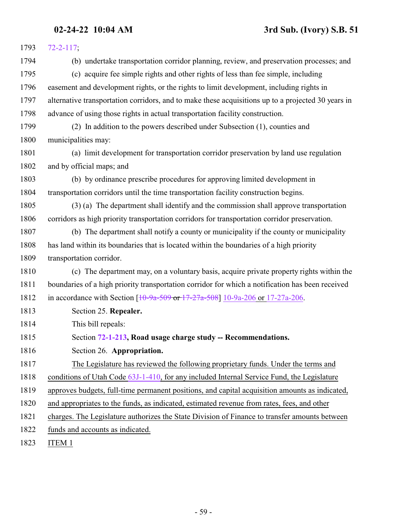| 1793 | $72 - 2 - 117$ ;                                                                                   |  |  |  |
|------|----------------------------------------------------------------------------------------------------|--|--|--|
| 1794 | (b) undertake transportation corridor planning, review, and preservation processes; and            |  |  |  |
| 1795 | (c) acquire fee simple rights and other rights of less than fee simple, including                  |  |  |  |
| 1796 | easement and development rights, or the rights to limit development, including rights in           |  |  |  |
| 1797 | alternative transportation corridors, and to make these acquisitions up to a projected 30 years in |  |  |  |
| 1798 | advance of using those rights in actual transportation facility construction.                      |  |  |  |
| 1799 | (2) In addition to the powers described under Subsection (1), counties and                         |  |  |  |
| 1800 | municipalities may:                                                                                |  |  |  |
| 1801 | (a) limit development for transportation corridor preservation by land use regulation              |  |  |  |
| 1802 | and by official maps; and                                                                          |  |  |  |
| 1803 | (b) by ordinance prescribe procedures for approving limited development in                         |  |  |  |
| 1804 | transportation corridors until the time transportation facility construction begins.               |  |  |  |
| 1805 | (3) (a) The department shall identify and the commission shall approve transportation              |  |  |  |
| 1806 | corridors as high priority transportation corridors for transportation corridor preservation.      |  |  |  |
| 1807 | (b) The department shall notify a county or municipality if the county or municipality             |  |  |  |
| 1808 | has land within its boundaries that is located within the boundaries of a high priority            |  |  |  |
| 1809 | transportation corridor.                                                                           |  |  |  |
| 1810 | (c) The department may, on a voluntary basis, acquire private property rights within the           |  |  |  |
| 1811 | boundaries of a high priority transportation corridor for which a notification has been received   |  |  |  |
| 1812 | in accordance with Section $[10-9a-509$ or $17-27a-508]$ 10-9a-206 or 17-27a-206.                  |  |  |  |
| 1813 | Section 25. Repealer.                                                                              |  |  |  |
| 1814 | This bill repeals:                                                                                 |  |  |  |
| 1815 | Section 72-1-213, Road usage charge study -- Recommendations.                                      |  |  |  |
| 1816 | Section 26. Appropriation.                                                                         |  |  |  |
| 1817 | The Legislature has reviewed the following proprietary funds. Under the terms and                  |  |  |  |
| 1818 | conditions of Utah Code 63J-1-410, for any included Internal Service Fund, the Legislature         |  |  |  |
| 1819 | approves budgets, full-time permanent positions, and capital acquisition amounts as indicated,     |  |  |  |
| 1820 | and appropriates to the funds, as indicated, estimated revenue from rates, fees, and other         |  |  |  |
| 1821 | charges. The Legislature authorizes the State Division of Finance to transfer amounts between      |  |  |  |
| 1822 | funds and accounts as indicated.                                                                   |  |  |  |
|      |                                                                                                    |  |  |  |

ITEM 1